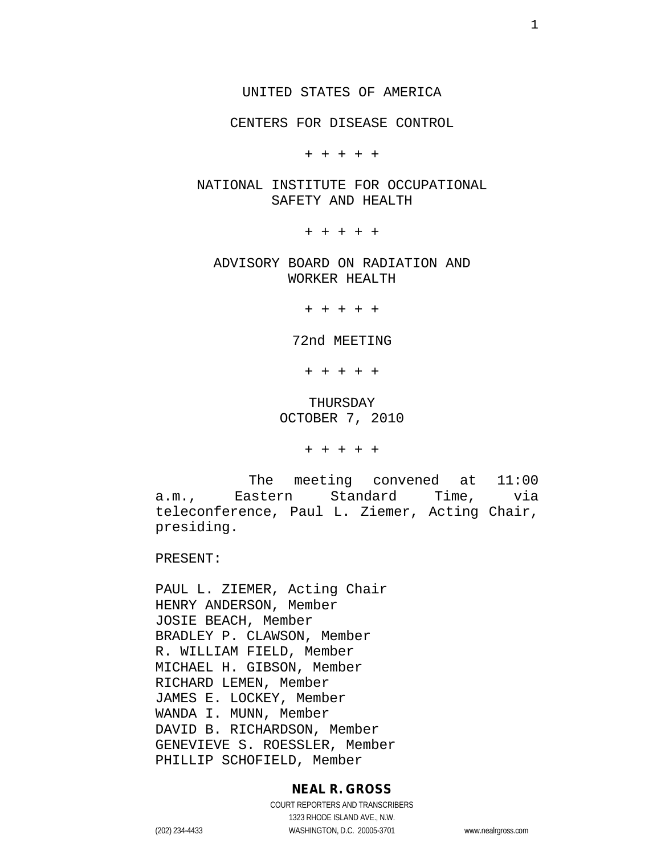CENTERS FOR DISEASE CONTROL

+ + + + +

## NATIONAL INSTITUTE FOR OCCUPATIONAL SAFETY AND HEALTH

+ + + + +

ADVISORY BOARD ON RADIATION AND WORKER HEALTH

+ + + + +

72nd MEETING

+ + + + +

THURSDAY OCTOBER 7, 2010

+ + + + +

The meeting convened at 11:00 a.m., Eastern Standard Time, via teleconference, Paul L. Ziemer, Acting Chair, presiding.

PRESENT:

PAUL L. ZIEMER, Acting Chair HENRY ANDERSON, Member JOSIE BEACH, Member BRADLEY P. CLAWSON, Member R. WILLIAM FIELD, Member MICHAEL H. GIBSON, Member RICHARD LEMEN, Member JAMES E. LOCKEY, Member WANDA I. MUNN, Member DAVID B. RICHARDSON, Member GENEVIEVE S. ROESSLER, Member PHILLIP SCHOFIELD, Member

## **NEAL R. GROSS**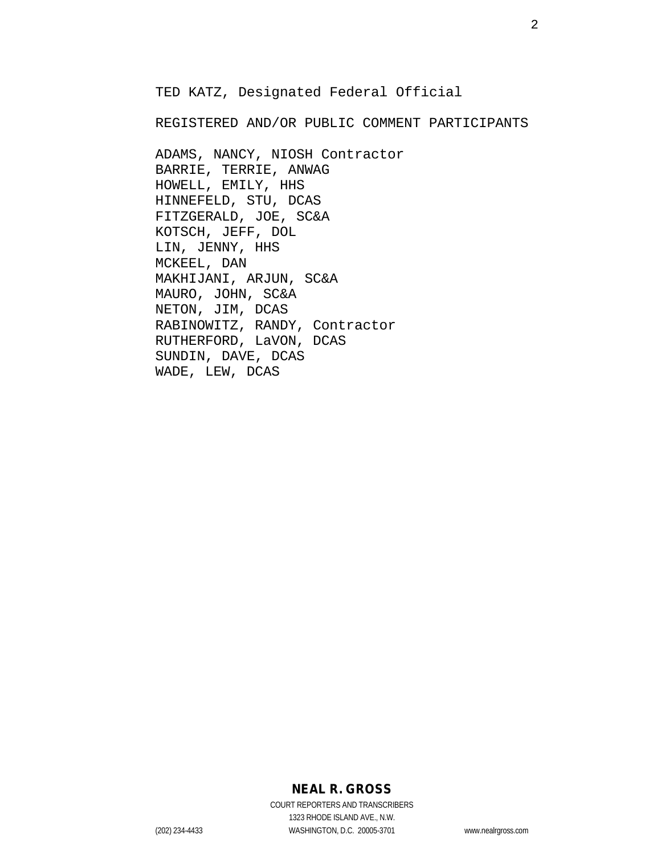TED KATZ, Designated Federal Official

REGISTERED AND/OR PUBLIC COMMENT PARTICIPANTS

ADAMS, NANCY, NIOSH Contractor BARRIE, TERRIE, ANWAG HOWELL, EMILY, HHS HINNEFELD, STU, DCAS FITZGERALD, JOE, SC&A KOTSCH, JEFF, DOL LIN, JENNY, HHS MCKEEL, DAN MAKHIJANI, ARJUN, SC&A MAURO, JOHN, SC&A NETON, JIM, DCAS RABINOWITZ, RANDY, Contractor RUTHERFORD, LaVON, DCAS SUNDIN, DAVE, DCAS WADE, LEW, DCAS

## **NEAL R. GROSS**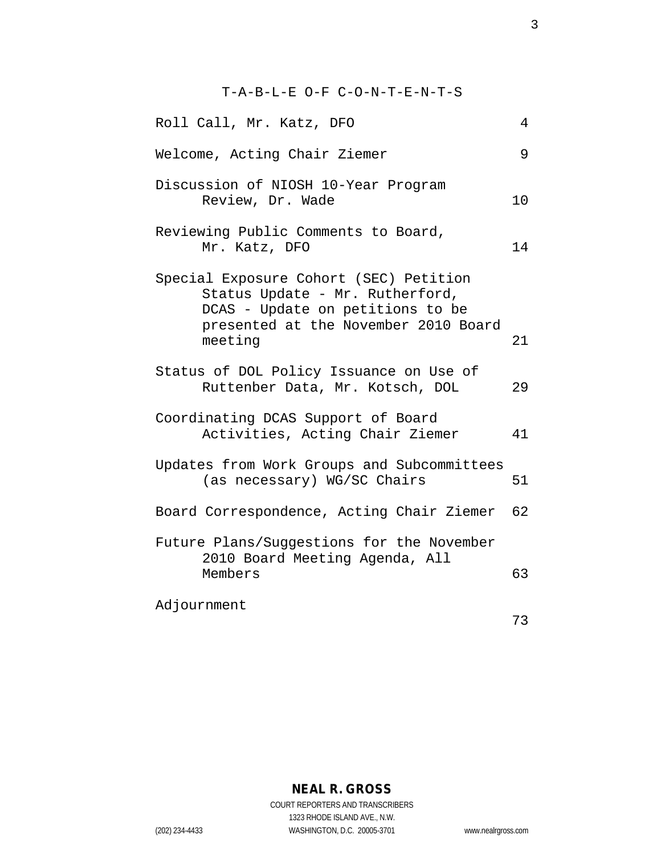T-A-B-L-E O-F C-O-N-T-E-N-T-S Roll Call, Mr. Katz, DFO 4 Welcome, Acting Chair Ziemer 9 Discussion of NIOSH 10-Year Program Review, Dr. Wade 10 Reviewing Public Comments to Board, Mr. Katz, DFO 14 Special Exposure Cohort (SEC) Petition Status Update - Mr. Rutherford, DCAS - Update on petitions to be presented at the November 2010 Board meeting 21 Status of DOL Policy Issuance on Use of Ruttenber Data, Mr. Kotsch, DOL 29 Coordinating DCAS Support of Board Activities, Acting Chair Ziemer 41 Updates from Work Groups and Subcommittees (as necessary) WG/SC Chairs 51 Board Correspondence, Acting Chair Ziemer 62 Future Plans/Suggestions for the November 2010 Board Meeting Agenda, All Members 63 Adjournment 73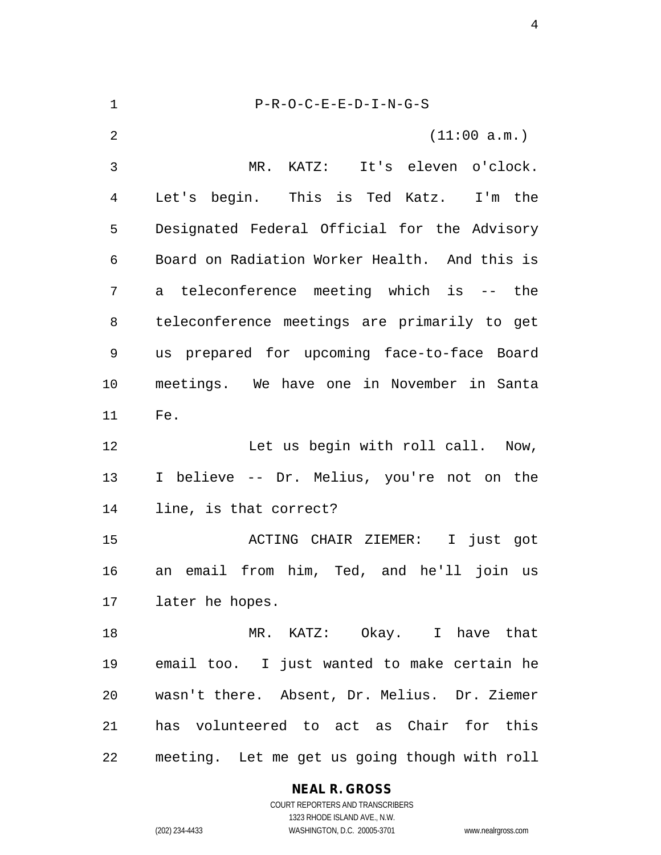P-R-O-C-E-E-D-I-N-G-S (11:00 a.m.) MR. KATZ: It's eleven o'clock. Let's begin. This is Ted Katz. I'm the Designated Federal Official for the Advisory Board on Radiation Worker Health. And this is a teleconference meeting which is -- the teleconference meetings are primarily to get us prepared for upcoming face-to-face Board meetings. We have one in November in Santa Fe. Let us begin with roll call. Now, I believe -- Dr. Melius, you're not on the line, is that correct? ACTING CHAIR ZIEMER: I just got an email from him, Ted, and he'll join us later he hopes. MR. KATZ: Okay. I have that email too. I just wanted to make certain he wasn't there. Absent, Dr. Melius. Dr. Ziemer has volunteered to act as Chair for this meeting. Let me get us going though with roll

## **NEAL R. GROSS**

COURT REPORTERS AND TRANSCRIBERS 1323 RHODE ISLAND AVE., N.W. (202) 234-4433 WASHINGTON, D.C. 20005-3701 www.nealrgross.com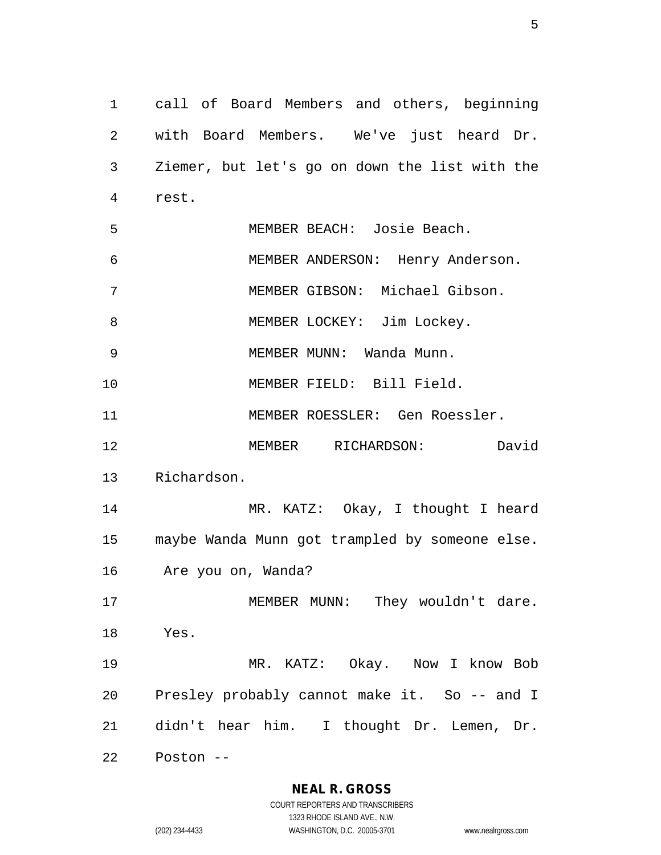call of Board Members and others, beginning with Board Members. We've just heard Dr. Ziemer, but let's go on down the list with the rest. MEMBER BEACH: Josie Beach. MEMBER ANDERSON: Henry Anderson. MEMBER GIBSON: Michael Gibson. 8 MEMBER LOCKEY: Jim Lockey. MEMBER MUNN: Wanda Munn. MEMBER FIELD: Bill Field. MEMBER ROESSLER: Gen Roessler. MEMBER RICHARDSON: David Richardson. MR. KATZ: Okay, I thought I heard maybe Wanda Munn got trampled by someone else. Are you on, Wanda? 17 MEMBER MUNN: They wouldn't dare. Yes. MR. KATZ: Okay. Now I know Bob Presley probably cannot make it. So -- and I didn't hear him. I thought Dr. Lemen, Dr. Poston --

**NEAL R. GROSS**

COURT REPORTERS AND TRANSCRIBERS 1323 RHODE ISLAND AVE., N.W. (202) 234-4433 WASHINGTON, D.C. 20005-3701 www.nealrgross.com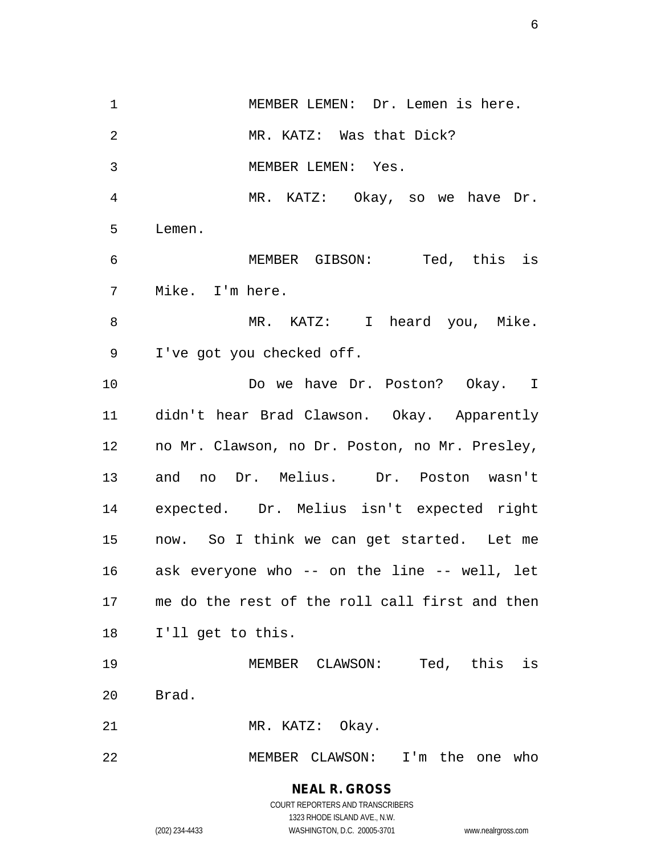MEMBER LEMEN: Dr. Lemen is here. MR. KATZ: Was that Dick? MEMBER LEMEN: Yes. MR. KATZ: Okay, so we have Dr. Lemen. MEMBER GIBSON: Ted, this is Mike. I'm here. 8 MR. KATZ: I heard you, Mike. I've got you checked off. 10 Do we have Dr. Poston? Okay. I didn't hear Brad Clawson. Okay. Apparently no Mr. Clawson, no Dr. Poston, no Mr. Presley, and no Dr. Melius. Dr. Poston wasn't expected. Dr. Melius isn't expected right now. So I think we can get started. Let me ask everyone who -- on the line -- well, let me do the rest of the roll call first and then I'll get to this. MEMBER CLAWSON: Ted, this is Brad. 21 MR. KATZ: Okay. MEMBER CLAWSON: I'm the one who

> **NEAL R. GROSS** COURT REPORTERS AND TRANSCRIBERS

> > 1323 RHODE ISLAND AVE., N.W.

(202) 234-4433 WASHINGTON, D.C. 20005-3701 www.nealrgross.com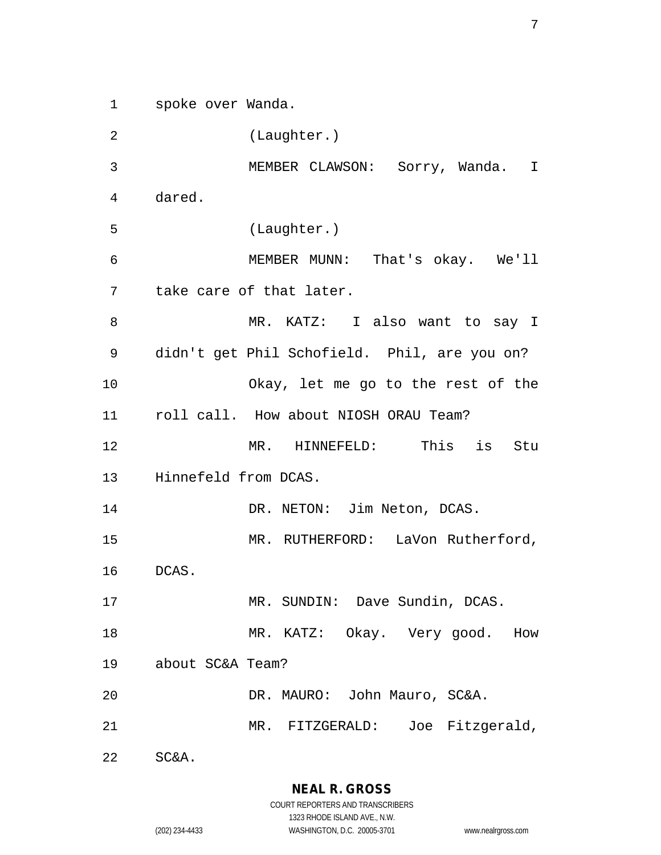spoke over Wanda.

 (Laughter.) MEMBER CLAWSON: Sorry, Wanda. I dared. (Laughter.) MEMBER MUNN: That's okay. We'll take care of that later. MR. KATZ: I also want to say I didn't get Phil Schofield. Phil, are you on? Okay, let me go to the rest of the roll call. How about NIOSH ORAU Team? MR. HINNEFELD: This is Stu Hinnefeld from DCAS. 14 DR. NETON: Jim Neton, DCAS. 15 MR. RUTHERFORD: LaVon Rutherford, DCAS. 17 MR. SUNDIN: Dave Sundin, DCAS. 18 MR. KATZ: Okay. Very good. How about SC&A Team? DR. MAURO: John Mauro, SC&A. MR. FITZGERALD: Joe Fitzgerald, SC&A.

**NEAL R. GROSS**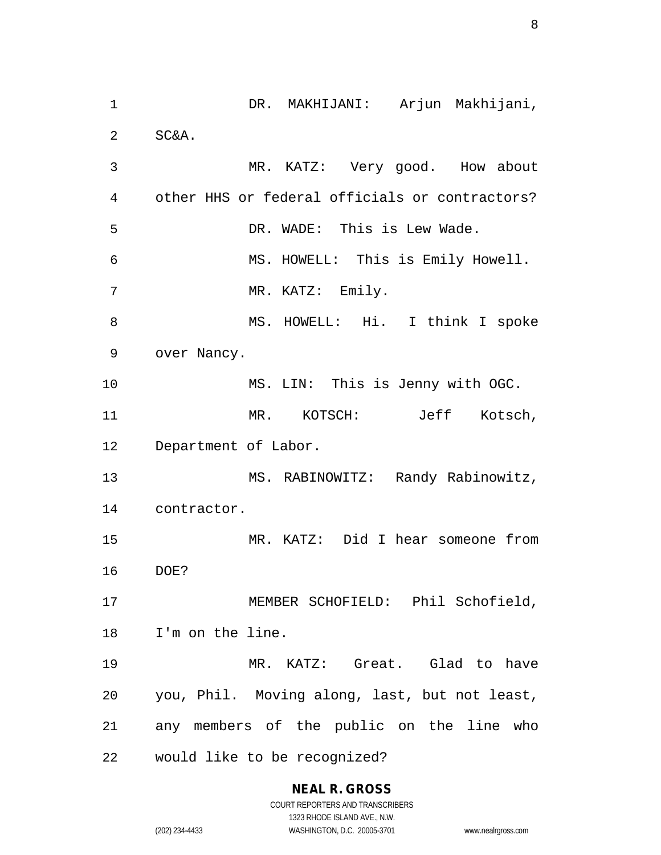DR. MAKHIJANI: Arjun Makhijani, SC&A. MR. KATZ: Very good. How about other HHS or federal officials or contractors? DR. WADE: This is Lew Wade. MS. HOWELL: This is Emily Howell. 7 MR. KATZ: Emily. 8 MS. HOWELL: Hi. I think I spoke over Nancy. MS. LIN: This is Jenny with OGC. MR. KOTSCH: Jeff Kotsch, Department of Labor. MS. RABINOWITZ: Randy Rabinowitz, contractor. MR. KATZ: Did I hear someone from DOE? MEMBER SCHOFIELD: Phil Schofield, I'm on the line. MR. KATZ: Great. Glad to have you, Phil. Moving along, last, but not least, any members of the public on the line who would like to be recognized?

# **NEAL R. GROSS**

COURT REPORTERS AND TRANSCRIBERS 1323 RHODE ISLAND AVE., N.W. (202) 234-4433 WASHINGTON, D.C. 20005-3701 www.nealrgross.com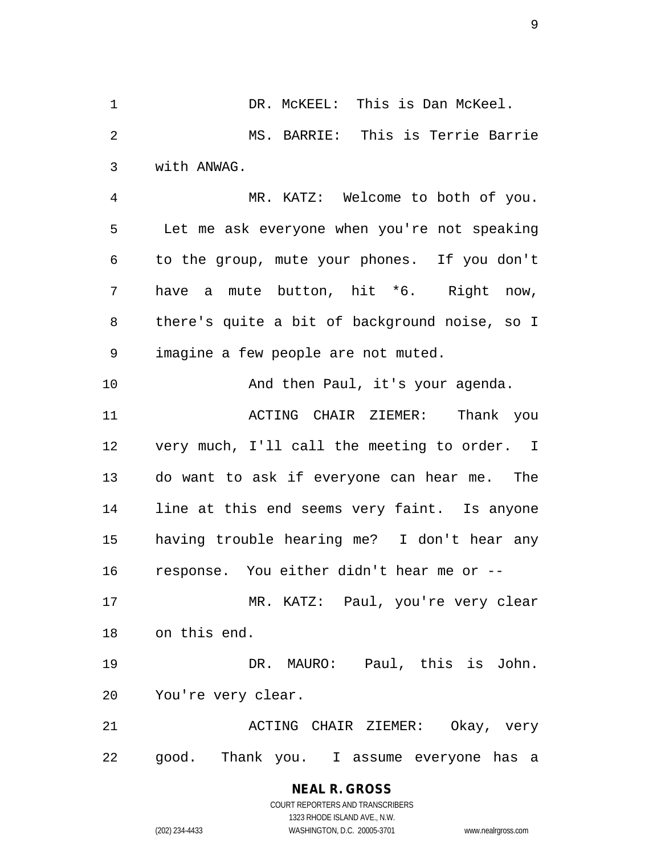DR. McKEEL: This is Dan McKeel. MS. BARRIE: This is Terrie Barrie with ANWAG. MR. KATZ: Welcome to both of you. Let me ask everyone when you're not speaking to the group, mute your phones. If you don't have a mute button, hit \*6. Right now, there's quite a bit of background noise, so I imagine a few people are not muted. 10 And then Paul, it's your agenda. ACTING CHAIR ZIEMER: Thank you very much, I'll call the meeting to order. I do want to ask if everyone can hear me. The line at this end seems very faint. Is anyone having trouble hearing me? I don't hear any response. You either didn't hear me or -- MR. KATZ: Paul, you're very clear on this end. DR. MAURO: Paul, this is John. You're very clear. ACTING CHAIR ZIEMER: Okay, very good. Thank you. I assume everyone has a

> **NEAL R. GROSS** COURT REPORTERS AND TRANSCRIBERS

> > 1323 RHODE ISLAND AVE., N.W.

(202) 234-4433 WASHINGTON, D.C. 20005-3701 www.nealrgross.com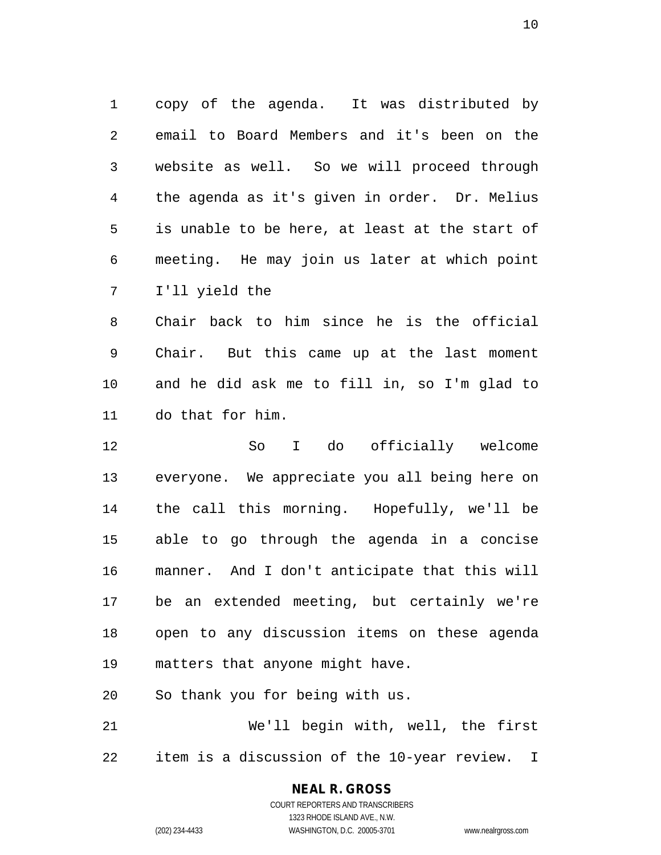copy of the agenda. It was distributed by email to Board Members and it's been on the website as well. So we will proceed through the agenda as it's given in order. Dr. Melius is unable to be here, at least at the start of meeting. He may join us later at which point I'll yield the

 Chair back to him since he is the official Chair. But this came up at the last moment and he did ask me to fill in, so I'm glad to do that for him.

 So I do officially welcome everyone. We appreciate you all being here on the call this morning. Hopefully, we'll be able to go through the agenda in a concise manner. And I don't anticipate that this will be an extended meeting, but certainly we're open to any discussion items on these agenda matters that anyone might have.

So thank you for being with us.

 We'll begin with, well, the first item is a discussion of the 10-year review. I

# **NEAL R. GROSS**

COURT REPORTERS AND TRANSCRIBERS 1323 RHODE ISLAND AVE., N.W. (202) 234-4433 WASHINGTON, D.C. 20005-3701 www.nealrgross.com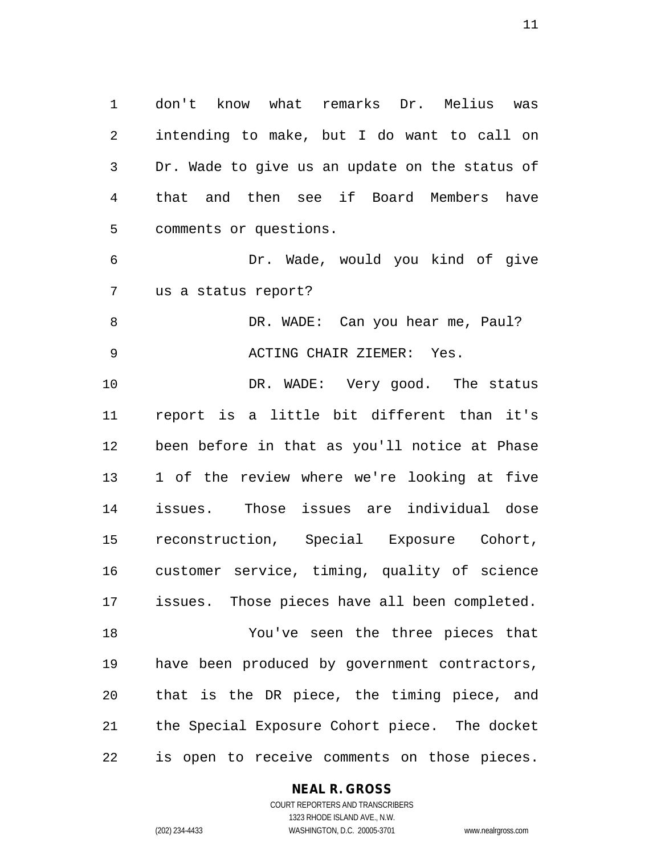don't know what remarks Dr. Melius was intending to make, but I do want to call on Dr. Wade to give us an update on the status of that and then see if Board Members have comments or questions.

 Dr. Wade, would you kind of give us a status report?

8 DR. WADE: Can you hear me, Paul? ACTING CHAIR ZIEMER: Yes.

 DR. WADE: Very good. The status report is a little bit different than it's been before in that as you'll notice at Phase 1 of the review where we're looking at five issues. Those issues are individual dose reconstruction, Special Exposure Cohort, customer service, timing, quality of science issues. Those pieces have all been completed. You've seen the three pieces that have been produced by government contractors, that is the DR piece, the timing piece, and the Special Exposure Cohort piece. The docket

is open to receive comments on those pieces.

#### **NEAL R. GROSS**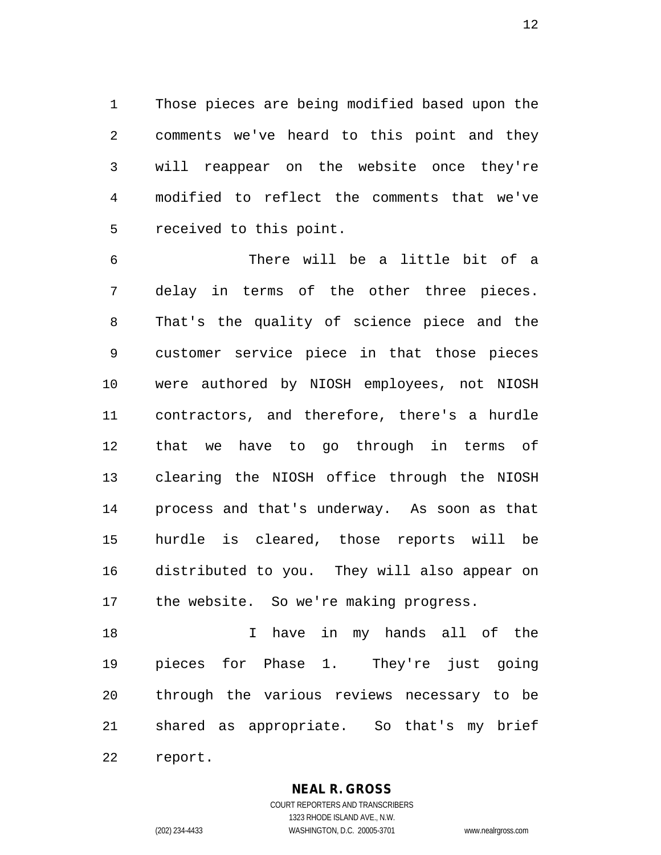Those pieces are being modified based upon the comments we've heard to this point and they will reappear on the website once they're modified to reflect the comments that we've received to this point.

 There will be a little bit of a delay in terms of the other three pieces. That's the quality of science piece and the customer service piece in that those pieces were authored by NIOSH employees, not NIOSH contractors, and therefore, there's a hurdle that we have to go through in terms of clearing the NIOSH office through the NIOSH process and that's underway. As soon as that hurdle is cleared, those reports will be distributed to you. They will also appear on the website. So we're making progress.

18 18 I have in my hands all of the pieces for Phase 1. They're just going through the various reviews necessary to be shared as appropriate. So that's my brief report.

**NEAL R. GROSS**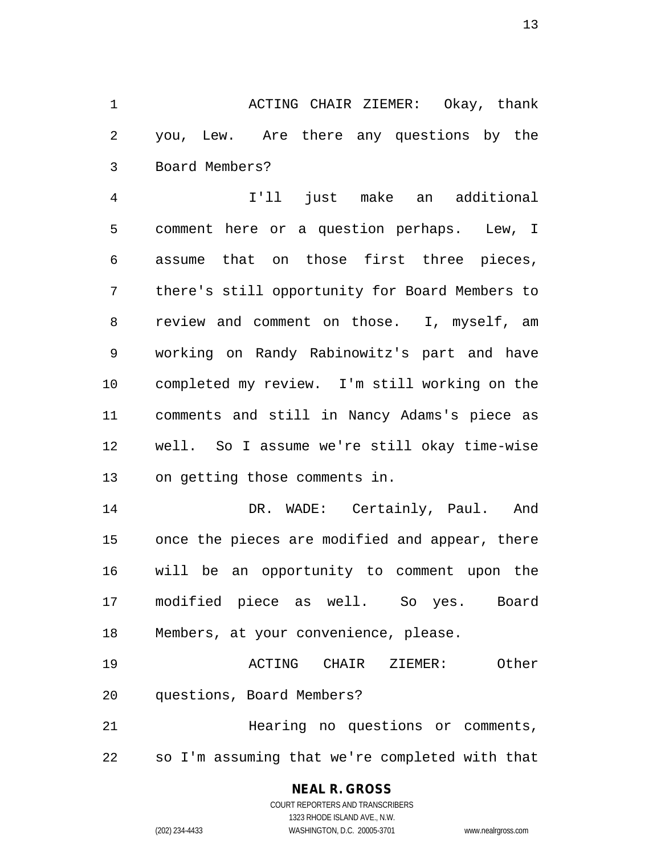ACTING CHAIR ZIEMER: Okay, thank you, Lew. Are there any questions by the Board Members?

 I'll just make an additional comment here or a question perhaps. Lew, I assume that on those first three pieces, there's still opportunity for Board Members to review and comment on those. I, myself, am working on Randy Rabinowitz's part and have completed my review. I'm still working on the comments and still in Nancy Adams's piece as well. So I assume we're still okay time-wise on getting those comments in.

 DR. WADE: Certainly, Paul. And once the pieces are modified and appear, there will be an opportunity to comment upon the modified piece as well. So yes. Board Members, at your convenience, please.

 ACTING CHAIR ZIEMER: Other questions, Board Members?

 Hearing no questions or comments, so I'm assuming that we're completed with that

## **NEAL R. GROSS**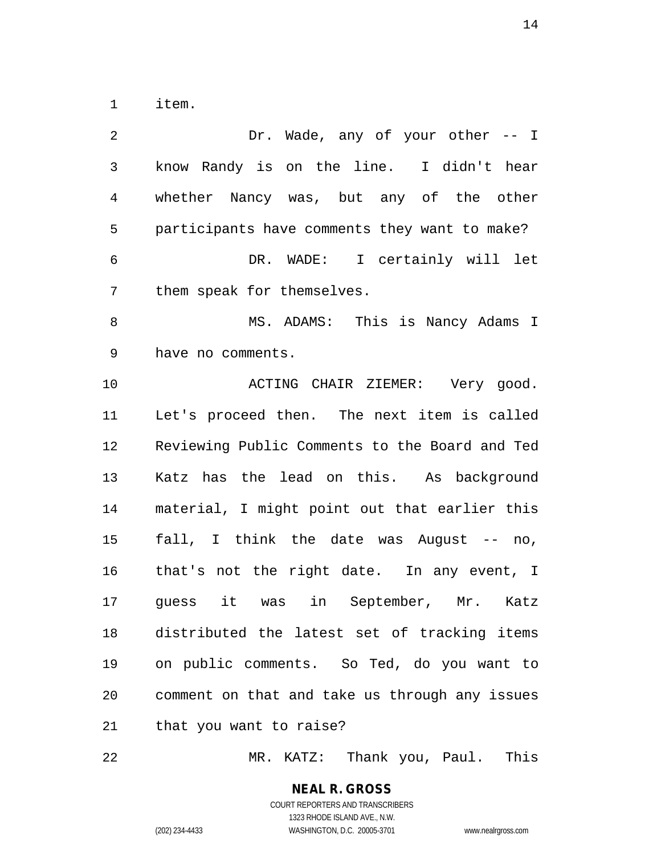item.

 Dr. Wade, any of your other -- I know Randy is on the line. I didn't hear whether Nancy was, but any of the other participants have comments they want to make? DR. WADE: I certainly will let them speak for themselves. MS. ADAMS: This is Nancy Adams I have no comments. 10 ACTING CHAIR ZIEMER: Very good. Let's proceed then. The next item is called Reviewing Public Comments to the Board and Ted Katz has the lead on this. As background material, I might point out that earlier this fall, I think the date was August -- no, that's not the right date. In any event, I guess it was in September, Mr. Katz distributed the latest set of tracking items on public comments. So Ted, do you want to comment on that and take us through any issues that you want to raise?

MR. KATZ: Thank you, Paul. This

**NEAL R. GROSS** COURT REPORTERS AND TRANSCRIBERS 1323 RHODE ISLAND AVE., N.W.

(202) 234-4433 WASHINGTON, D.C. 20005-3701 www.nealrgross.com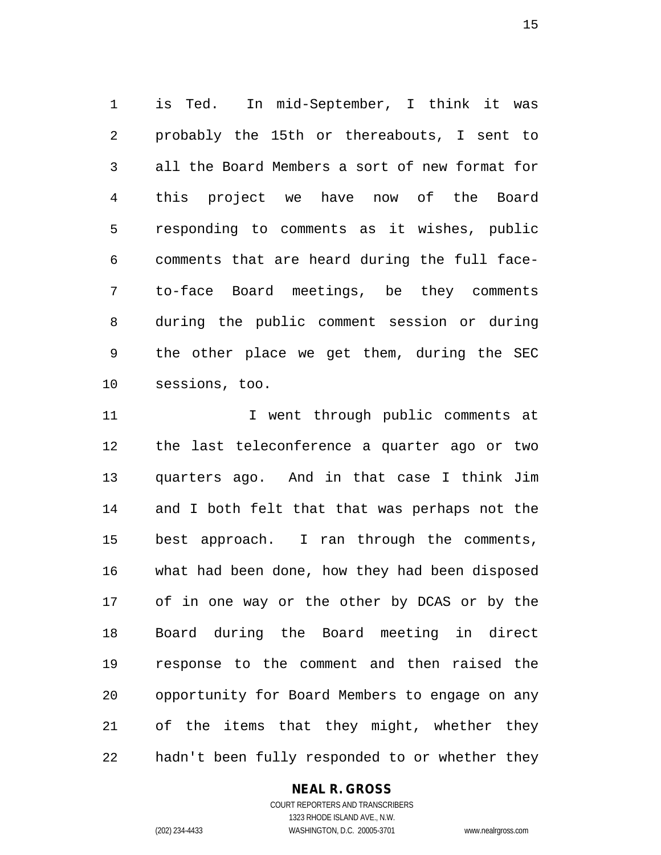is Ted. In mid-September, I think it was probably the 15th or thereabouts, I sent to all the Board Members a sort of new format for this project we have now of the Board responding to comments as it wishes, public comments that are heard during the full face- to-face Board meetings, be they comments during the public comment session or during the other place we get them, during the SEC sessions, too.

11 11 I went through public comments at the last teleconference a quarter ago or two quarters ago. And in that case I think Jim and I both felt that that was perhaps not the best approach. I ran through the comments, what had been done, how they had been disposed of in one way or the other by DCAS or by the Board during the Board meeting in direct response to the comment and then raised the opportunity for Board Members to engage on any of the items that they might, whether they hadn't been fully responded to or whether they

## **NEAL R. GROSS**

COURT REPORTERS AND TRANSCRIBERS 1323 RHODE ISLAND AVE., N.W. (202) 234-4433 WASHINGTON, D.C. 20005-3701 www.nealrgross.com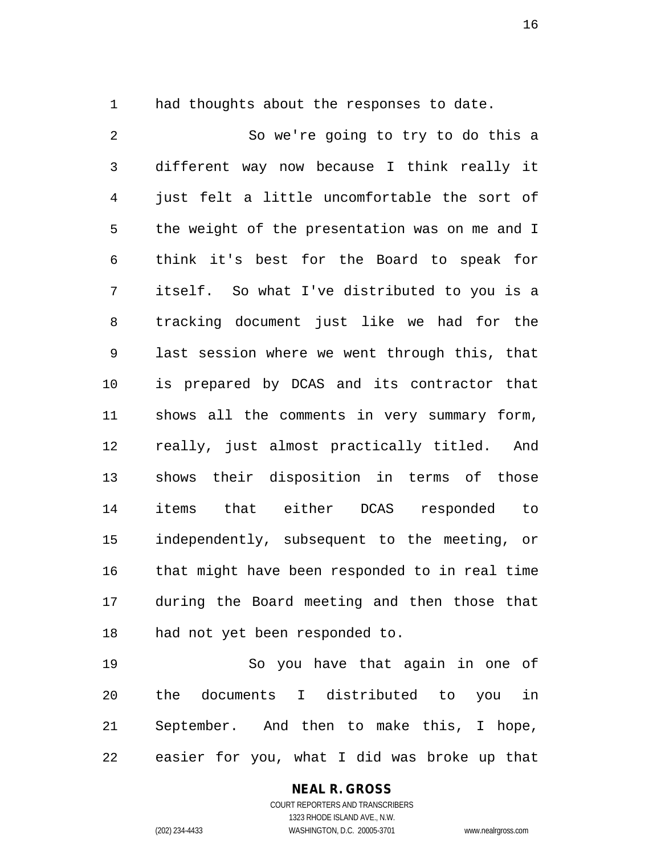1 had thoughts about the responses to date.

 So we're going to try to do this a different way now because I think really it just felt a little uncomfortable the sort of the weight of the presentation was on me and I think it's best for the Board to speak for itself. So what I've distributed to you is a tracking document just like we had for the last session where we went through this, that is prepared by DCAS and its contractor that shows all the comments in very summary form, really, just almost practically titled. And shows their disposition in terms of those items that either DCAS responded to independently, subsequent to the meeting, or that might have been responded to in real time during the Board meeting and then those that had not yet been responded to.

 So you have that again in one of the documents I distributed to you in September. And then to make this, I hope, easier for you, what I did was broke up that

# **NEAL R. GROSS**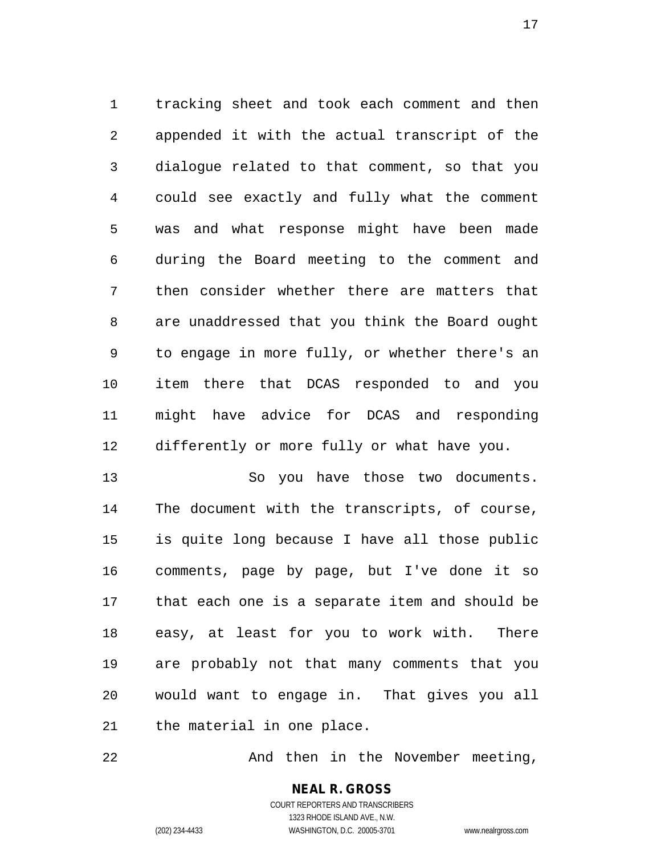tracking sheet and took each comment and then appended it with the actual transcript of the dialogue related to that comment, so that you could see exactly and fully what the comment was and what response might have been made during the Board meeting to the comment and then consider whether there are matters that are unaddressed that you think the Board ought to engage in more fully, or whether there's an item there that DCAS responded to and you might have advice for DCAS and responding differently or more fully or what have you.

 So you have those two documents. The document with the transcripts, of course, is quite long because I have all those public comments, page by page, but I've done it so that each one is a separate item and should be easy, at least for you to work with. There are probably not that many comments that you would want to engage in. That gives you all the material in one place.

22 And then in the November meeting,

## **NEAL R. GROSS** COURT REPORTERS AND TRANSCRIBERS 1323 RHODE ISLAND AVE., N.W.

(202) 234-4433 WASHINGTON, D.C. 20005-3701 www.nealrgross.com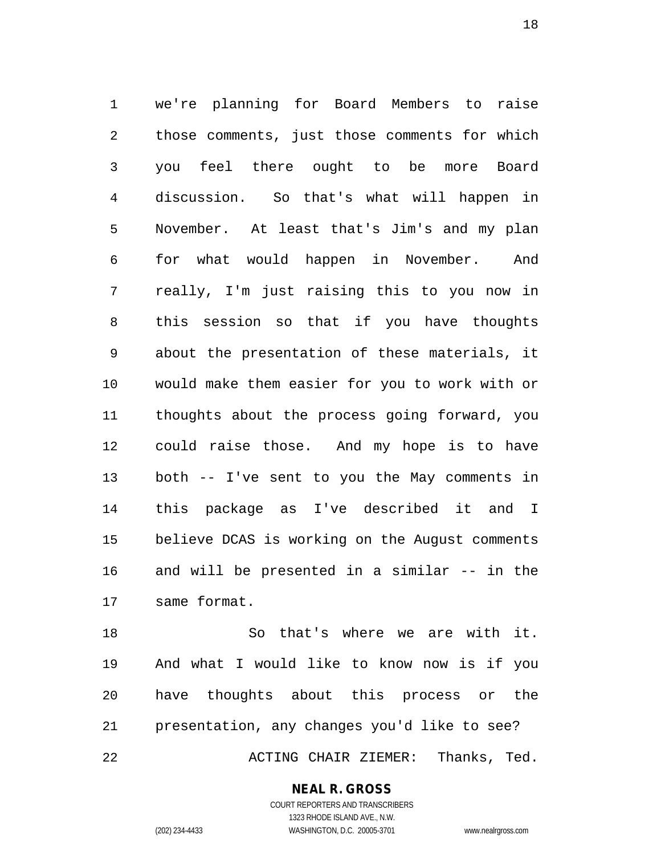we're planning for Board Members to raise those comments, just those comments for which you feel there ought to be more Board discussion. So that's what will happen in November. At least that's Jim's and my plan for what would happen in November. And really, I'm just raising this to you now in this session so that if you have thoughts about the presentation of these materials, it would make them easier for you to work with or thoughts about the process going forward, you could raise those. And my hope is to have both -- I've sent to you the May comments in this package as I've described it and I believe DCAS is working on the August comments and will be presented in a similar -- in the same format.

 So that's where we are with it. And what I would like to know now is if you have thoughts about this process or the presentation, any changes you'd like to see?

ACTING CHAIR ZIEMER: Thanks, Ted.

#### **NEAL R. GROSS**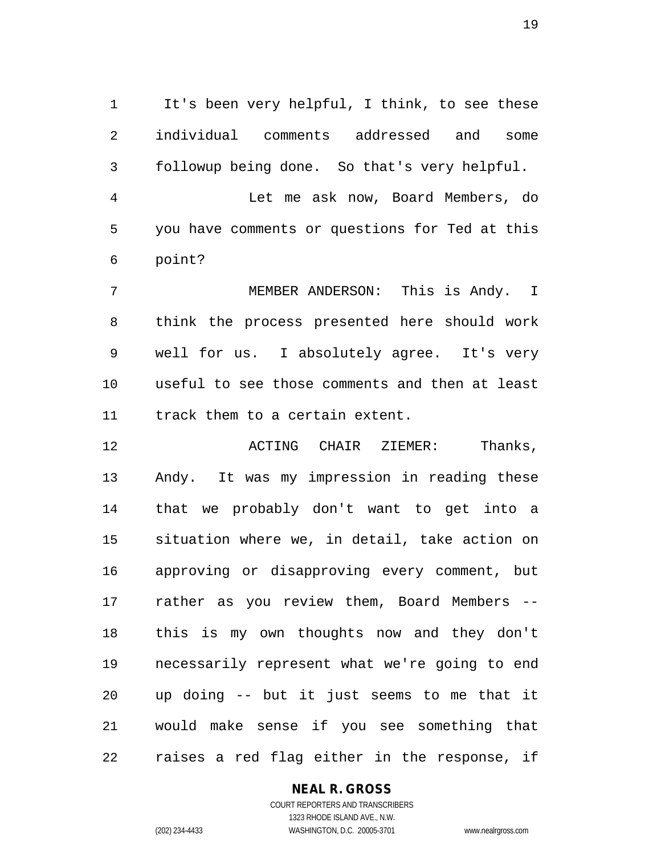It's been very helpful, I think, to see these individual comments addressed and some followup being done. So that's very helpful. Let me ask now, Board Members, do you have comments or questions for Ted at this point?

 MEMBER ANDERSON: This is Andy. I think the process presented here should work well for us. I absolutely agree. It's very useful to see those comments and then at least track them to a certain extent.

 ACTING CHAIR ZIEMER: Thanks, Andy. It was my impression in reading these that we probably don't want to get into a situation where we, in detail, take action on approving or disapproving every comment, but rather as you review them, Board Members -- this is my own thoughts now and they don't necessarily represent what we're going to end up doing -- but it just seems to me that it would make sense if you see something that raises a red flag either in the response, if

#### **NEAL R. GROSS**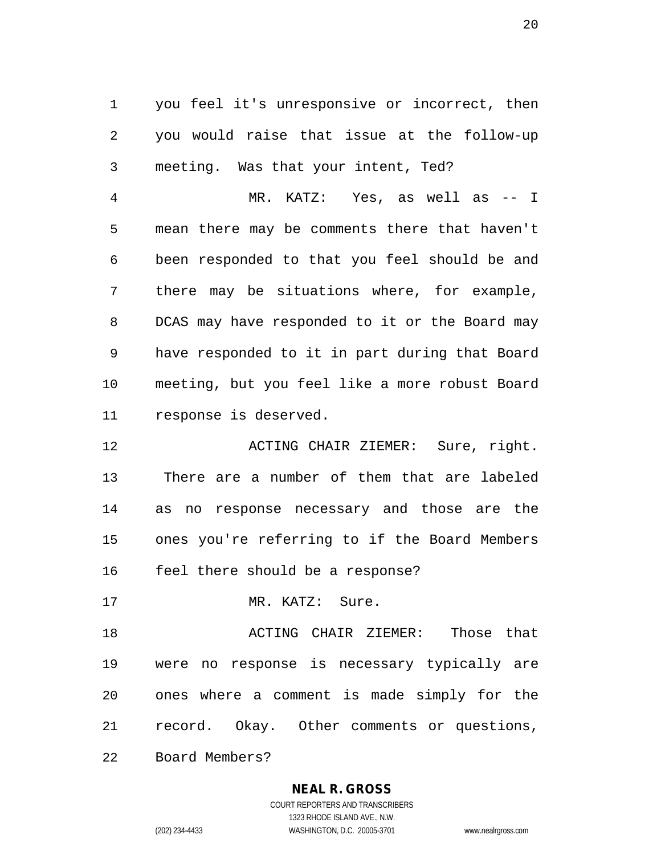you feel it's unresponsive or incorrect, then you would raise that issue at the follow-up meeting. Was that your intent, Ted?

 MR. KATZ: Yes, as well as -- I mean there may be comments there that haven't been responded to that you feel should be and there may be situations where, for example, DCAS may have responded to it or the Board may have responded to it in part during that Board meeting, but you feel like a more robust Board response is deserved.

 ACTING CHAIR ZIEMER: Sure, right. There are a number of them that are labeled as no response necessary and those are the ones you're referring to if the Board Members feel there should be a response?

17 MR. KATZ: Sure.

 ACTING CHAIR ZIEMER: Those that were no response is necessary typically are ones where a comment is made simply for the record. Okay. Other comments or questions,

Board Members?

#### **NEAL R. GROSS**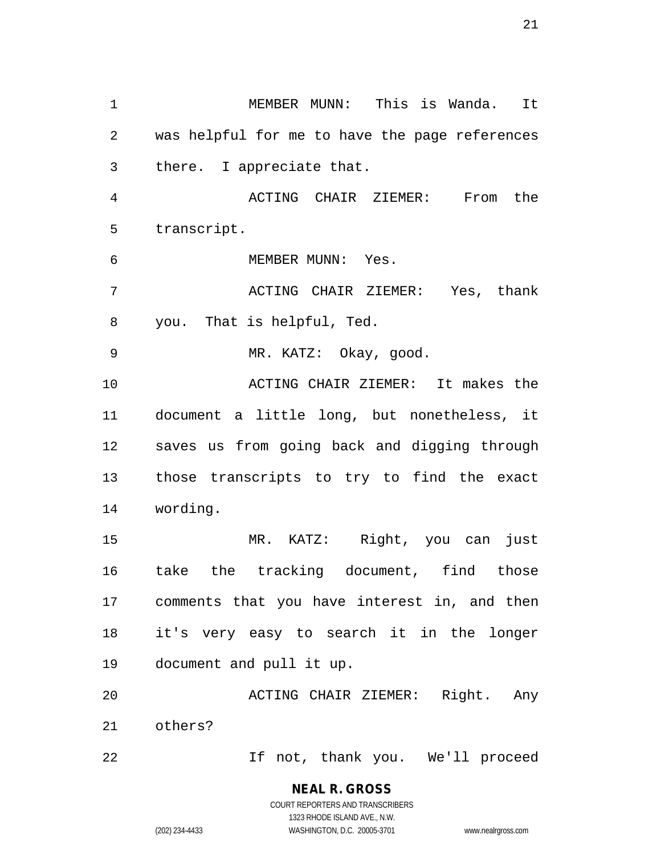MEMBER MUNN: This is Wanda. It was helpful for me to have the page references there. I appreciate that. ACTING CHAIR ZIEMER: From the transcript. MEMBER MUNN: Yes. ACTING CHAIR ZIEMER: Yes, thank you. That is helpful, Ted. MR. KATZ: Okay, good. ACTING CHAIR ZIEMER: It makes the document a little long, but nonetheless, it saves us from going back and digging through those transcripts to try to find the exact wording. MR. KATZ: Right, you can just take the tracking document, find those comments that you have interest in, and then it's very easy to search it in the longer document and pull it up. ACTING CHAIR ZIEMER: Right. Any others? If not, thank you. We'll proceed

> **NEAL R. GROSS** COURT REPORTERS AND TRANSCRIBERS 1323 RHODE ISLAND AVE., N.W.

(202) 234-4433 WASHINGTON, D.C. 20005-3701 www.nealrgross.com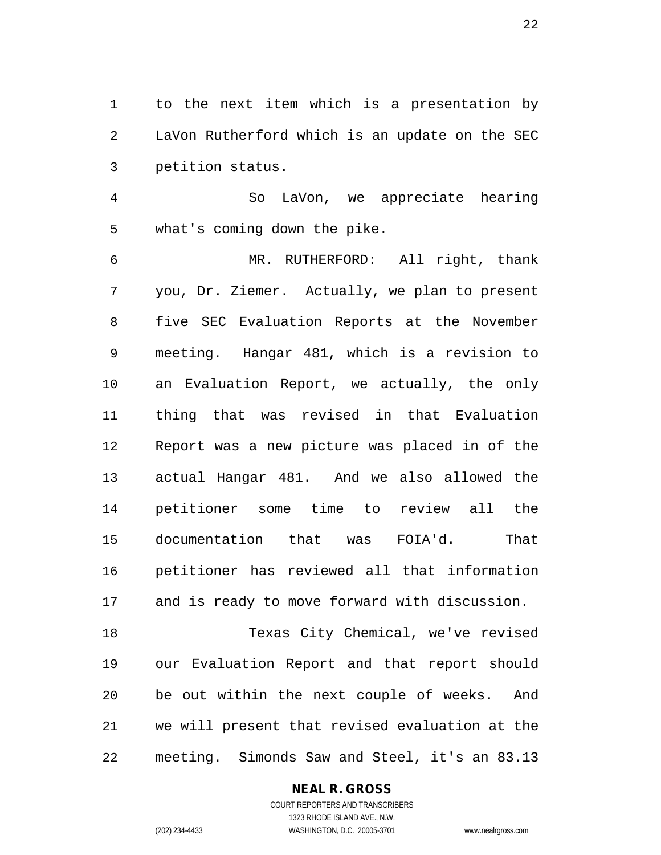to the next item which is a presentation by LaVon Rutherford which is an update on the SEC petition status.

 So LaVon, we appreciate hearing what's coming down the pike.

 MR. RUTHERFORD: All right, thank you, Dr. Ziemer. Actually, we plan to present five SEC Evaluation Reports at the November meeting. Hangar 481, which is a revision to an Evaluation Report, we actually, the only thing that was revised in that Evaluation Report was a new picture was placed in of the actual Hangar 481. And we also allowed the petitioner some time to review all the documentation that was FOIA'd. That petitioner has reviewed all that information and is ready to move forward with discussion.

 Texas City Chemical, we've revised our Evaluation Report and that report should be out within the next couple of weeks. And we will present that revised evaluation at the meeting. Simonds Saw and Steel, it's an 83.13

## **NEAL R. GROSS**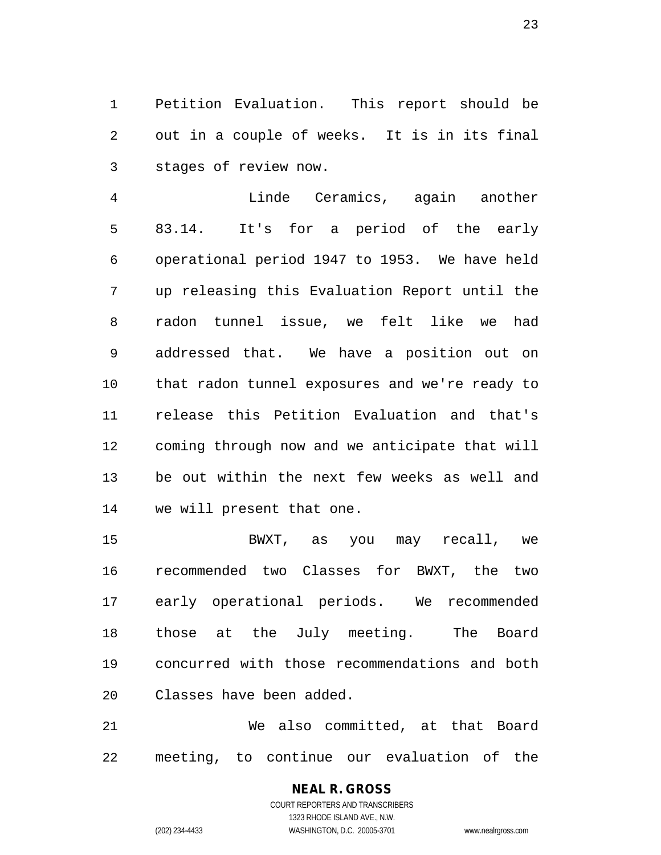Petition Evaluation. This report should be out in a couple of weeks. It is in its final stages of review now.

 Linde Ceramics, again another 83.14. It's for a period of the early operational period 1947 to 1953. We have held up releasing this Evaluation Report until the radon tunnel issue, we felt like we had addressed that. We have a position out on that radon tunnel exposures and we're ready to release this Petition Evaluation and that's coming through now and we anticipate that will be out within the next few weeks as well and we will present that one.

 BWXT, as you may recall, we recommended two Classes for BWXT, the two early operational periods. We recommended those at the July meeting. The Board concurred with those recommendations and both Classes have been added.

 We also committed, at that Board meeting, to continue our evaluation of the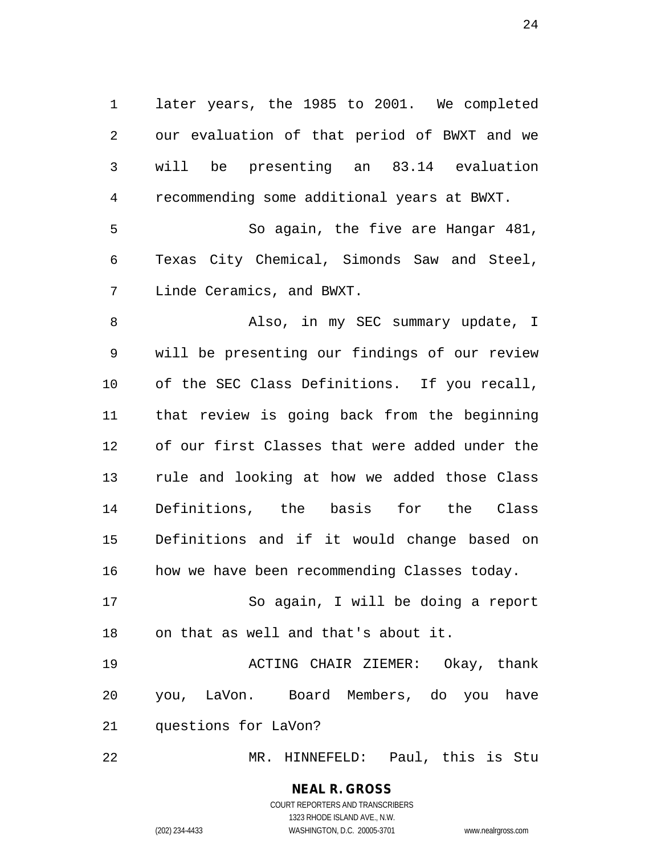later years, the 1985 to 2001. We completed our evaluation of that period of BWXT and we will be presenting an 83.14 evaluation recommending some additional years at BWXT. So again, the five are Hangar 481, Texas City Chemical, Simonds Saw and Steel, Linde Ceramics, and BWXT. Also, in my SEC summary update, I will be presenting our findings of our review of the SEC Class Definitions. If you recall, that review is going back from the beginning of our first Classes that were added under the rule and looking at how we added those Class Definitions, the basis for the Class Definitions and if it would change based on how we have been recommending Classes today. So again, I will be doing a report on that as well and that's about it. ACTING CHAIR ZIEMER: Okay, thank you, LaVon. Board Members, do you have questions for LaVon?

MR. HINNEFELD: Paul, this is Stu

## **NEAL R. GROSS** COURT REPORTERS AND TRANSCRIBERS 1323 RHODE ISLAND AVE., N.W.

(202) 234-4433 WASHINGTON, D.C. 20005-3701 www.nealrgross.com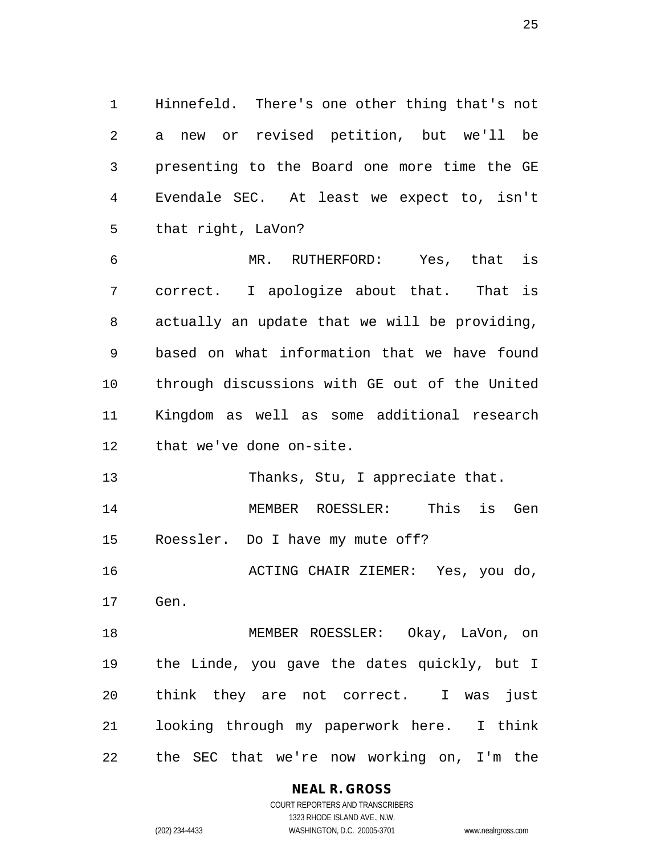Hinnefeld. There's one other thing that's not a new or revised petition, but we'll be presenting to the Board one more time the GE Evendale SEC. At least we expect to, isn't that right, LaVon?

 MR. RUTHERFORD: Yes, that is correct. I apologize about that. That is actually an update that we will be providing, based on what information that we have found through discussions with GE out of the United Kingdom as well as some additional research that we've done on-site.

13 Thanks, Stu, I appreciate that.

 MEMBER ROESSLER: This is Gen Roessler. Do I have my mute off?

ACTING CHAIR ZIEMER: Yes, you do,

Gen.

 MEMBER ROESSLER: Okay, LaVon, on the Linde, you gave the dates quickly, but I think they are not correct. I was just looking through my paperwork here. I think the SEC that we're now working on, I'm the

**NEAL R. GROSS**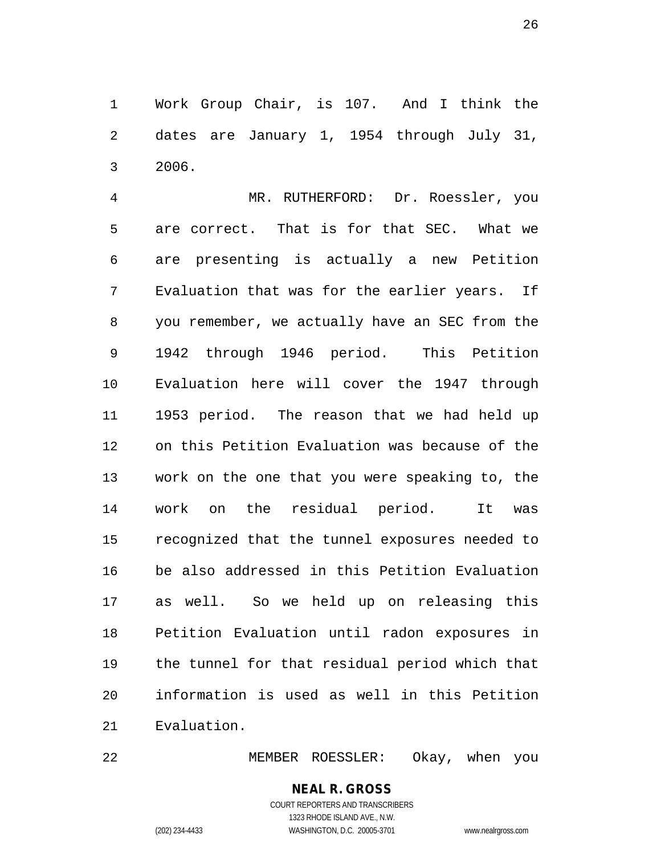Work Group Chair, is 107. And I think the dates are January 1, 1954 through July 31, 2006.

 MR. RUTHERFORD: Dr. Roessler, you are correct. That is for that SEC. What we are presenting is actually a new Petition Evaluation that was for the earlier years. If you remember, we actually have an SEC from the 1942 through 1946 period. This Petition Evaluation here will cover the 1947 through 1953 period. The reason that we had held up on this Petition Evaluation was because of the work on the one that you were speaking to, the work on the residual period. It was recognized that the tunnel exposures needed to be also addressed in this Petition Evaluation as well. So we held up on releasing this Petition Evaluation until radon exposures in the tunnel for that residual period which that information is used as well in this Petition Evaluation.

MEMBER ROESSLER: Okay, when you

## **NEAL R. GROSS** COURT REPORTERS AND TRANSCRIBERS 1323 RHODE ISLAND AVE., N.W.

(202) 234-4433 WASHINGTON, D.C. 20005-3701 www.nealrgross.com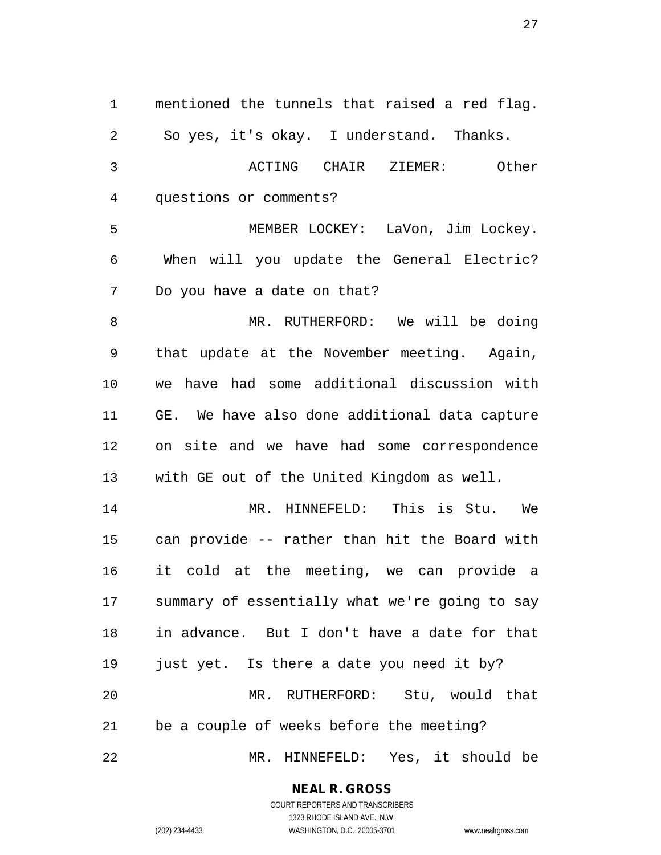mentioned the tunnels that raised a red flag. So yes, it's okay. I understand. Thanks. ACTING CHAIR ZIEMER: Other questions or comments? MEMBER LOCKEY: LaVon, Jim Lockey. When will you update the General Electric? Do you have a date on that? MR. RUTHERFORD: We will be doing that update at the November meeting. Again, we have had some additional discussion with GE. We have also done additional data capture on site and we have had some correspondence with GE out of the United Kingdom as well. MR. HINNEFELD: This is Stu. We can provide -- rather than hit the Board with it cold at the meeting, we can provide a summary of essentially what we're going to say in advance. But I don't have a date for that just yet. Is there a date you need it by? MR. RUTHERFORD: Stu, would that be a couple of weeks before the meeting? MR. HINNEFELD: Yes, it should be

> **NEAL R. GROSS** COURT REPORTERS AND TRANSCRIBERS

> > 1323 RHODE ISLAND AVE., N.W.

(202) 234-4433 WASHINGTON, D.C. 20005-3701 www.nealrgross.com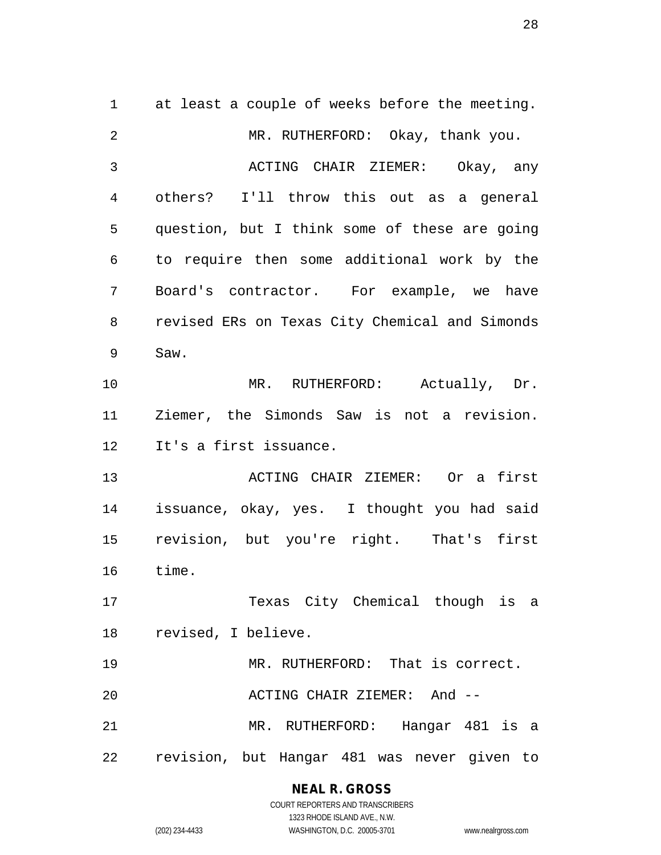at least a couple of weeks before the meeting. 2 MR. RUTHERFORD: Okay, thank you. ACTING CHAIR ZIEMER: Okay, any others? I'll throw this out as a general question, but I think some of these are going to require then some additional work by the Board's contractor. For example, we have revised ERs on Texas City Chemical and Simonds Saw. 10 MR. RUTHERFORD: Actually, Dr. Ziemer, the Simonds Saw is not a revision. It's a first issuance. ACTING CHAIR ZIEMER: Or a first issuance, okay, yes. I thought you had said revision, but you're right. That's first time. Texas City Chemical though is a revised, I believe. MR. RUTHERFORD: That is correct. ACTING CHAIR ZIEMER: And -- MR. RUTHERFORD: Hangar 481 is a revision, but Hangar 481 was never given to

> **NEAL R. GROSS** COURT REPORTERS AND TRANSCRIBERS

1323 RHODE ISLAND AVE., N.W. (202) 234-4433 WASHINGTON, D.C. 20005-3701 www.nealrgross.com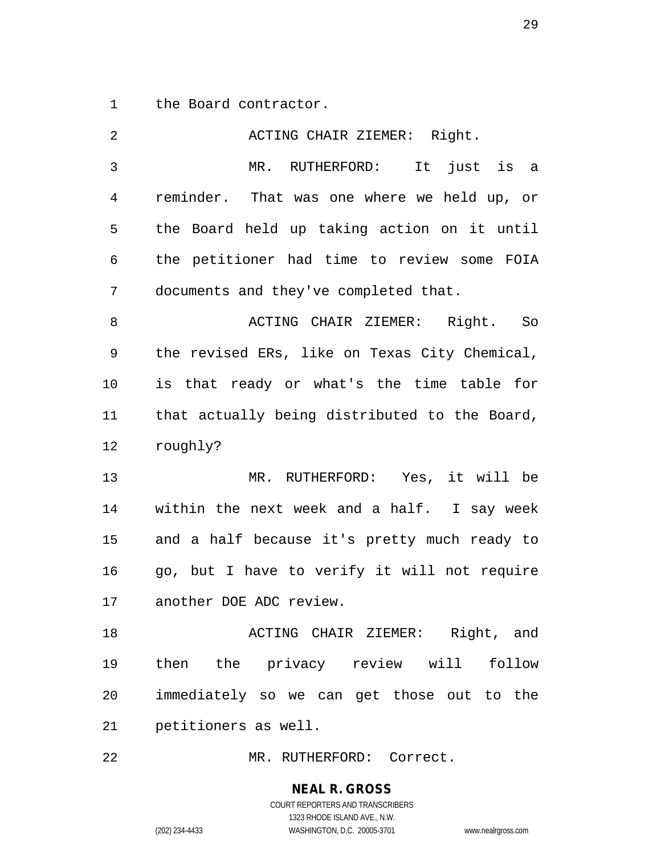the Board contractor.

| $\overline{2}$ | ACTING CHAIR ZIEMER: Right.                   |
|----------------|-----------------------------------------------|
| $\mathbf{3}$   | MR. RUTHERFORD: It just is a                  |
| 4              | reminder. That was one where we held up, or   |
| 5              | the Board held up taking action on it until   |
| 6              | the petitioner had time to review some FOIA   |
| 7              | documents and they've completed that.         |
| 8              | ACTING CHAIR ZIEMER: Right. So                |
| 9              | the revised ERs, like on Texas City Chemical, |
| 10             | is that ready or what's the time table for    |
| 11             | that actually being distributed to the Board, |
| 12             | roughly?                                      |
| 13             | MR. RUTHERFORD: Yes, it will be               |
| 14             | within the next week and a half. I say week   |
| 15             | and a half because it's pretty much ready to  |
| 16             | go, but I have to verify it will not require  |
| 17             | another DOE ADC review.                       |
| 18             | ACTING CHAIR ZIEMER: Right, and               |
| 19             | then the privacy review will follow           |
| 20             | immediately so we can get those out to the    |
| 21             | petitioners as well.                          |
| 22             | MR. RUTHERFORD: Correct.                      |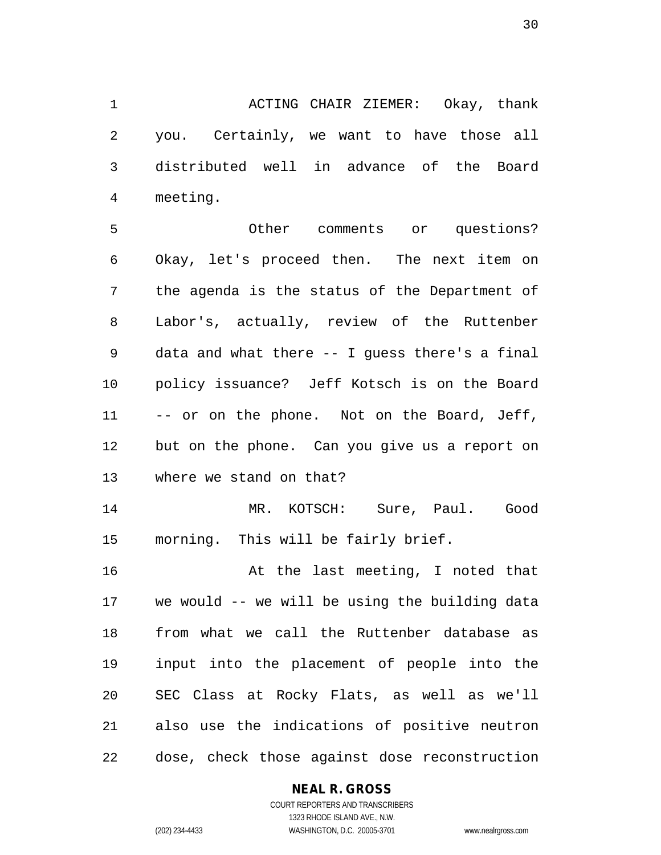ACTING CHAIR ZIEMER: Okay, thank you. Certainly, we want to have those all distributed well in advance of the Board meeting.

 Other comments or questions? Okay, let's proceed then. The next item on the agenda is the status of the Department of Labor's, actually, review of the Ruttenber data and what there -- I guess there's a final policy issuance? Jeff Kotsch is on the Board 11 -- or on the phone. Not on the Board, Jeff, but on the phone. Can you give us a report on where we stand on that?

 MR. KOTSCH: Sure, Paul. Good morning. This will be fairly brief.

 At the last meeting, I noted that we would -- we will be using the building data from what we call the Ruttenber database as input into the placement of people into the SEC Class at Rocky Flats, as well as we'll also use the indications of positive neutron dose, check those against dose reconstruction

## **NEAL R. GROSS**

COURT REPORTERS AND TRANSCRIBERS 1323 RHODE ISLAND AVE., N.W. (202) 234-4433 WASHINGTON, D.C. 20005-3701 www.nealrgross.com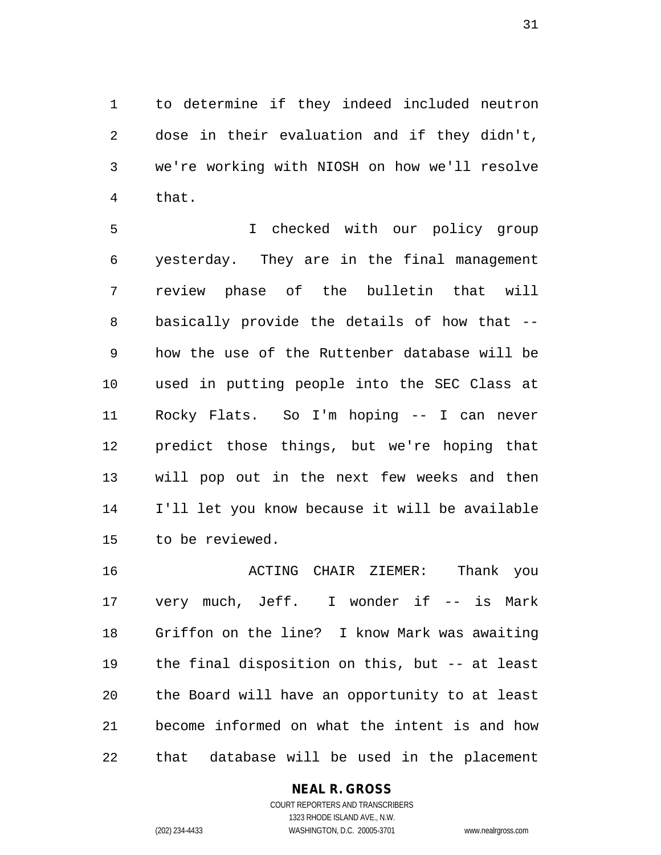to determine if they indeed included neutron dose in their evaluation and if they didn't, we're working with NIOSH on how we'll resolve that.

 I checked with our policy group yesterday. They are in the final management review phase of the bulletin that will basically provide the details of how that -- how the use of the Ruttenber database will be used in putting people into the SEC Class at Rocky Flats. So I'm hoping -- I can never predict those things, but we're hoping that will pop out in the next few weeks and then I'll let you know because it will be available to be reviewed.

 ACTING CHAIR ZIEMER: Thank you 17 very much, Jeff. I wonder if -- is Mark Griffon on the line? I know Mark was awaiting the final disposition on this, but -- at least the Board will have an opportunity to at least become informed on what the intent is and how that database will be used in the placement

## **NEAL R. GROSS**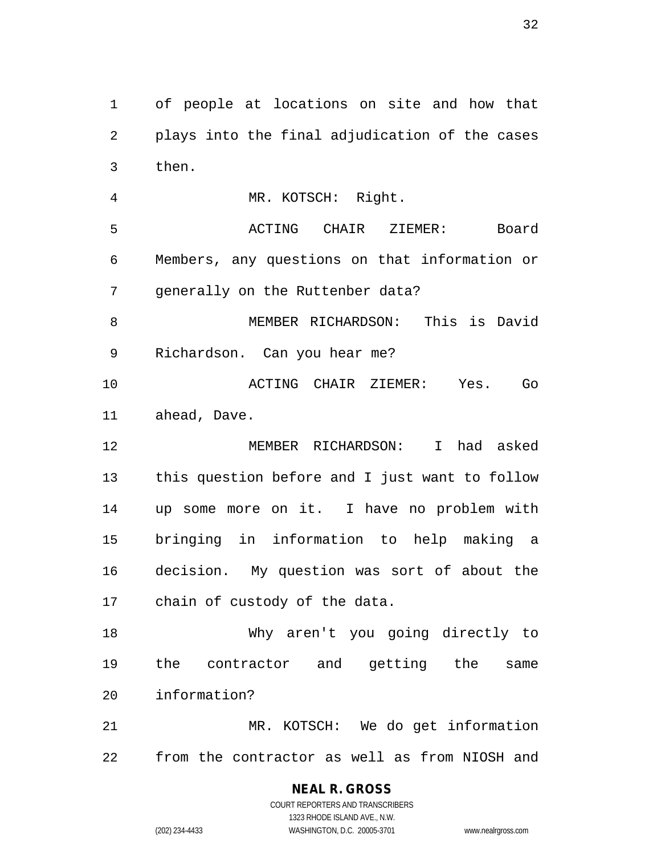of people at locations on site and how that plays into the final adjudication of the cases then. MR. KOTSCH: Right.

 ACTING CHAIR ZIEMER: Board Members, any questions on that information or generally on the Ruttenber data?

 MEMBER RICHARDSON: This is David Richardson. Can you hear me?

 ACTING CHAIR ZIEMER: Yes. Go ahead, Dave.

 MEMBER RICHARDSON: I had asked this question before and I just want to follow up some more on it. I have no problem with bringing in information to help making a decision. My question was sort of about the chain of custody of the data.

 Why aren't you going directly to the contractor and getting the same information?

 MR. KOTSCH: We do get information from the contractor as well as from NIOSH and

**NEAL R. GROSS**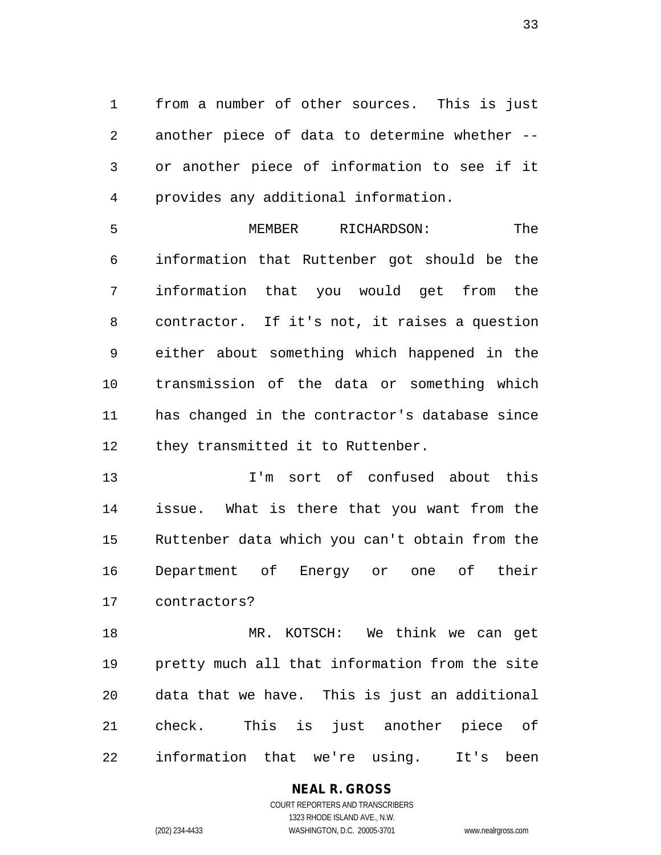from a number of other sources. This is just another piece of data to determine whether -- or another piece of information to see if it provides any additional information.

 MEMBER RICHARDSON: The information that Ruttenber got should be the information that you would get from the contractor. If it's not, it raises a question either about something which happened in the transmission of the data or something which has changed in the contractor's database since 12 they transmitted it to Ruttenber.

 I'm sort of confused about this issue. What is there that you want from the Ruttenber data which you can't obtain from the Department of Energy or one of their contractors?

 MR. KOTSCH: We think we can get pretty much all that information from the site data that we have. This is just an additional check. This is just another piece of information that we're using. It's been

> **NEAL R. GROSS** COURT REPORTERS AND TRANSCRIBERS

1323 RHODE ISLAND AVE., N.W. (202) 234-4433 WASHINGTON, D.C. 20005-3701 www.nealrgross.com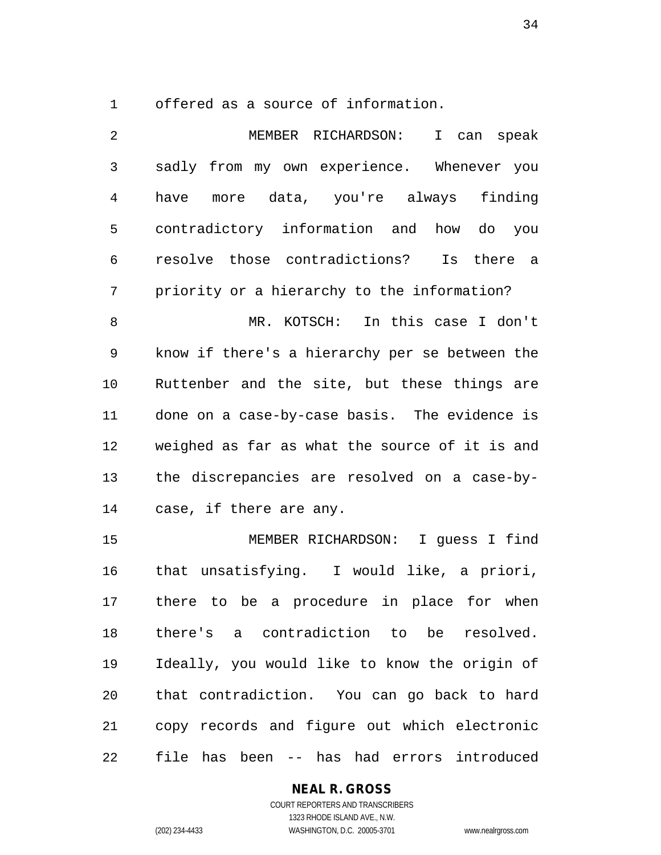offered as a source of information.

 MEMBER RICHARDSON: I can speak sadly from my own experience. Whenever you have more data, you're always finding contradictory information and how do you resolve those contradictions? Is there a priority or a hierarchy to the information? MR. KOTSCH: In this case I don't know if there's a hierarchy per se between the Ruttenber and the site, but these things are done on a case-by-case basis. The evidence is weighed as far as what the source of it is and the discrepancies are resolved on a case-by-

case, if there are any.

 MEMBER RICHARDSON: I guess I find that unsatisfying. I would like, a priori, there to be a procedure in place for when there's a contradiction to be resolved. Ideally, you would like to know the origin of that contradiction. You can go back to hard copy records and figure out which electronic file has been -- has had errors introduced

## **NEAL R. GROSS**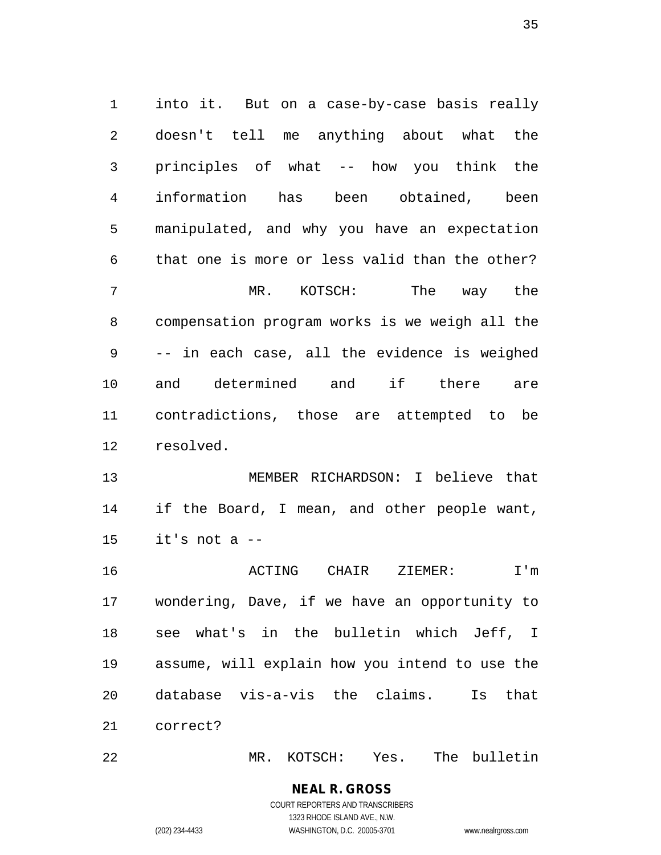into it. But on a case-by-case basis really doesn't tell me anything about what the principles of what -- how you think the information has been obtained, been manipulated, and why you have an expectation that one is more or less valid than the other? MR. KOTSCH: The way the compensation program works is we weigh all the -- in each case, all the evidence is weighed and determined and if there are contradictions, those are attempted to be resolved. MEMBER RICHARDSON: I believe that

 if the Board, I mean, and other people want, it's not a  $-$ 

 ACTING CHAIR ZIEMER: I'm wondering, Dave, if we have an opportunity to see what's in the bulletin which Jeff, I assume, will explain how you intend to use the database vis-a-vis the claims. Is that correct?

MR. KOTSCH: Yes. The bulletin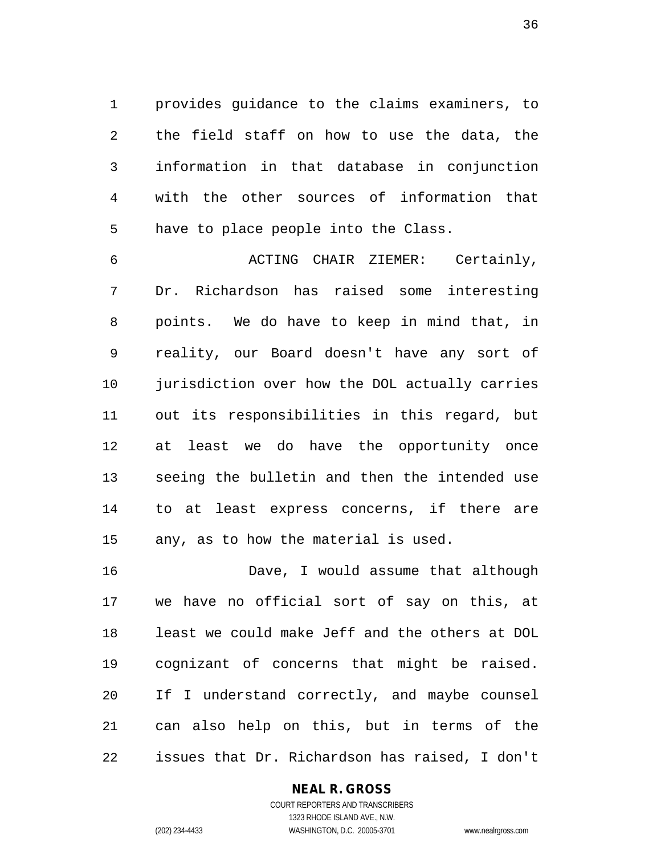provides guidance to the claims examiners, to the field staff on how to use the data, the information in that database in conjunction with the other sources of information that have to place people into the Class.

 ACTING CHAIR ZIEMER: Certainly, Dr. Richardson has raised some interesting points. We do have to keep in mind that, in reality, our Board doesn't have any sort of jurisdiction over how the DOL actually carries out its responsibilities in this regard, but at least we do have the opportunity once seeing the bulletin and then the intended use to at least express concerns, if there are any, as to how the material is used.

 Dave, I would assume that although we have no official sort of say on this, at least we could make Jeff and the others at DOL cognizant of concerns that might be raised. If I understand correctly, and maybe counsel can also help on this, but in terms of the issues that Dr. Richardson has raised, I don't

## **NEAL R. GROSS** COURT REPORTERS AND TRANSCRIBERS

1323 RHODE ISLAND AVE., N.W. (202) 234-4433 WASHINGTON, D.C. 20005-3701 www.nealrgross.com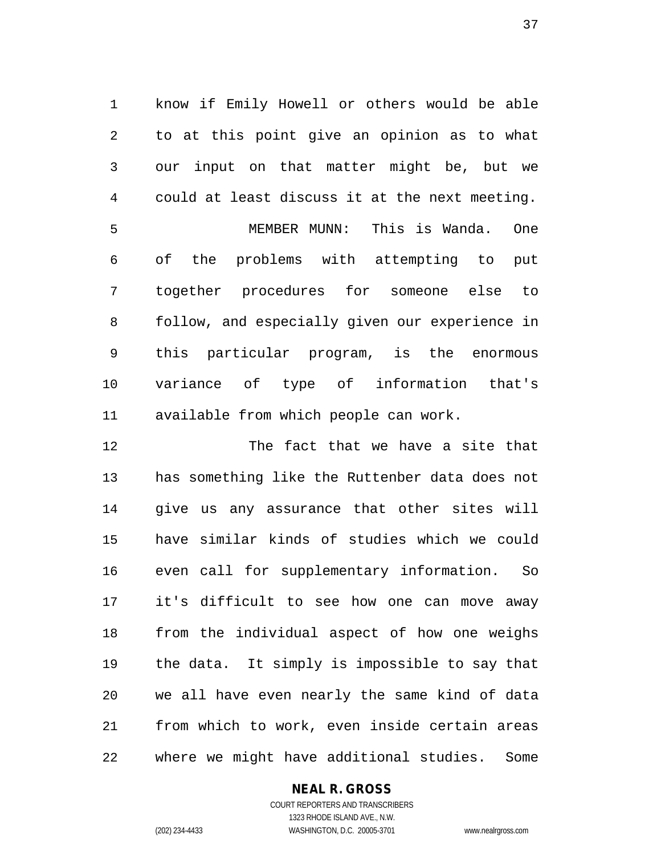know if Emily Howell or others would be able to at this point give an opinion as to what our input on that matter might be, but we could at least discuss it at the next meeting.

 MEMBER MUNN: This is Wanda. One of the problems with attempting to put together procedures for someone else to follow, and especially given our experience in this particular program, is the enormous variance of type of information that's available from which people can work.

 The fact that we have a site that has something like the Ruttenber data does not give us any assurance that other sites will have similar kinds of studies which we could even call for supplementary information. So it's difficult to see how one can move away from the individual aspect of how one weighs the data. It simply is impossible to say that we all have even nearly the same kind of data from which to work, even inside certain areas where we might have additional studies. Some

#### **NEAL R. GROSS**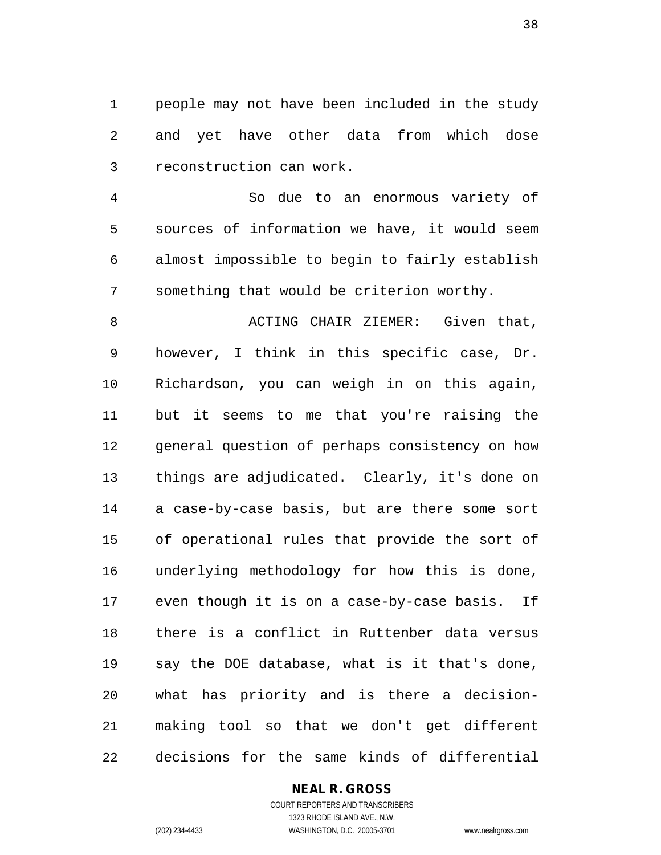people may not have been included in the study and yet have other data from which dose reconstruction can work.

 So due to an enormous variety of sources of information we have, it would seem almost impossible to begin to fairly establish something that would be criterion worthy.

8 ACTING CHAIR ZIEMER: Given that, however, I think in this specific case, Dr. Richardson, you can weigh in on this again, but it seems to me that you're raising the general question of perhaps consistency on how things are adjudicated. Clearly, it's done on a case-by-case basis, but are there some sort of operational rules that provide the sort of underlying methodology for how this is done, even though it is on a case-by-case basis. If there is a conflict in Ruttenber data versus say the DOE database, what is it that's done, what has priority and is there a decision- making tool so that we don't get different decisions for the same kinds of differential

#### **NEAL R. GROSS**

COURT REPORTERS AND TRANSCRIBERS 1323 RHODE ISLAND AVE., N.W. (202) 234-4433 WASHINGTON, D.C. 20005-3701 www.nealrgross.com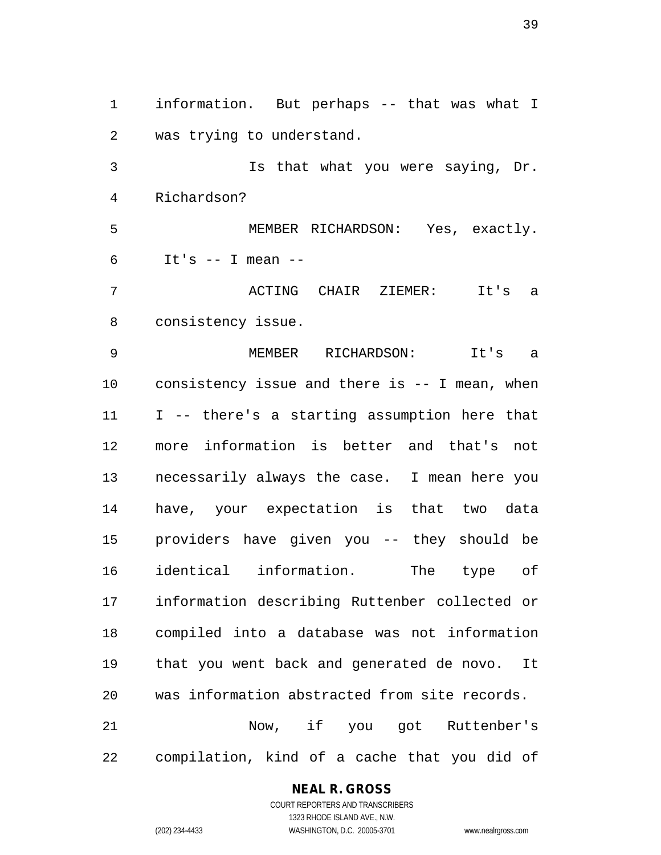information. But perhaps -- that was what I was trying to understand. Is that what you were saying, Dr. Richardson? MEMBER RICHARDSON: Yes, exactly. It's  $-$  I mean  $-$  ACTING CHAIR ZIEMER: It's a consistency issue. MEMBER RICHARDSON: It's a consistency issue and there is -- I mean, when I -- there's a starting assumption here that more information is better and that's not necessarily always the case. I mean here you have, your expectation is that two data providers have given you -- they should be identical information. The type of information describing Ruttenber collected or compiled into a database was not information that you went back and generated de novo. It was information abstracted from site records. Now, if you got Ruttenber's compilation, kind of a cache that you did of

#### **NEAL R. GROSS**

COURT REPORTERS AND TRANSCRIBERS 1323 RHODE ISLAND AVE., N.W. (202) 234-4433 WASHINGTON, D.C. 20005-3701 www.nealrgross.com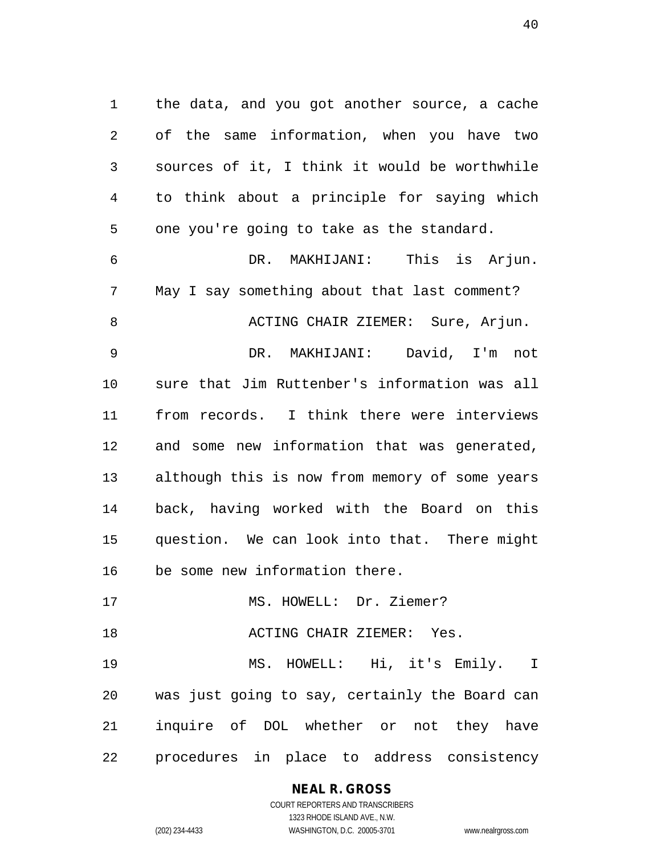the data, and you got another source, a cache of the same information, when you have two sources of it, I think it would be worthwhile to think about a principle for saying which one you're going to take as the standard.

 DR. MAKHIJANI: This is Arjun. May I say something about that last comment? 8 ACTING CHAIR ZIEMER: Sure, Arjun. DR. MAKHIJANI: David, I'm not sure that Jim Ruttenber's information was all from records. I think there were interviews and some new information that was generated, although this is now from memory of some years back, having worked with the Board on this question. We can look into that. There might be some new information there.

17 MS. HOWELL: Dr. Ziemer?

ACTING CHAIR ZIEMER: Yes.

 MS. HOWELL: Hi, it's Emily. I was just going to say, certainly the Board can inquire of DOL whether or not they have procedures in place to address consistency

> **NEAL R. GROSS** COURT REPORTERS AND TRANSCRIBERS

> > 1323 RHODE ISLAND AVE., N.W.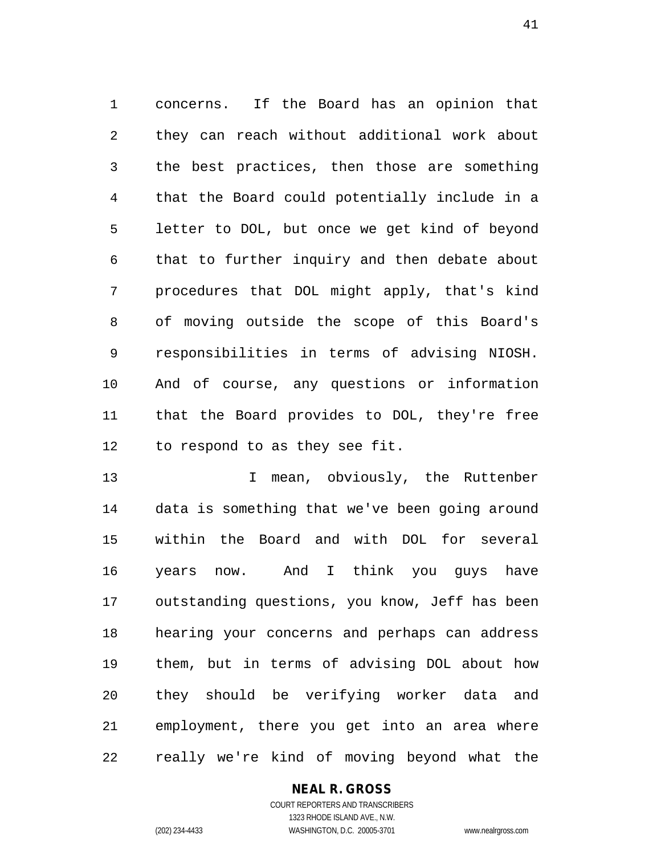concerns. If the Board has an opinion that they can reach without additional work about the best practices, then those are something that the Board could potentially include in a letter to DOL, but once we get kind of beyond that to further inquiry and then debate about procedures that DOL might apply, that's kind of moving outside the scope of this Board's responsibilities in terms of advising NIOSH. And of course, any questions or information that the Board provides to DOL, they're free to respond to as they see fit.

13 I mean, obviously, the Ruttenber data is something that we've been going around within the Board and with DOL for several years now. And I think you guys have outstanding questions, you know, Jeff has been hearing your concerns and perhaps can address them, but in terms of advising DOL about how they should be verifying worker data and employment, there you get into an area where really we're kind of moving beyond what the

#### **NEAL R. GROSS**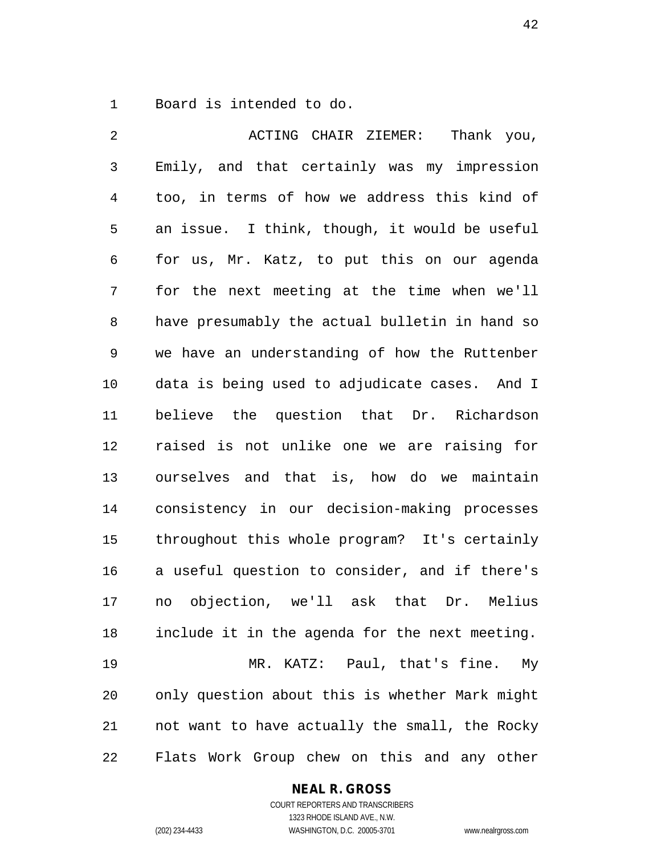Board is intended to do.

 ACTING CHAIR ZIEMER: Thank you, Emily, and that certainly was my impression too, in terms of how we address this kind of an issue. I think, though, it would be useful for us, Mr. Katz, to put this on our agenda for the next meeting at the time when we'll have presumably the actual bulletin in hand so we have an understanding of how the Ruttenber data is being used to adjudicate cases. And I believe the question that Dr. Richardson raised is not unlike one we are raising for ourselves and that is, how do we maintain consistency in our decision-making processes throughout this whole program? It's certainly a useful question to consider, and if there's no objection, we'll ask that Dr. Melius include it in the agenda for the next meeting. MR. KATZ: Paul, that's fine. My only question about this is whether Mark might not want to have actually the small, the Rocky Flats Work Group chew on this and any other

#### **NEAL R. GROSS**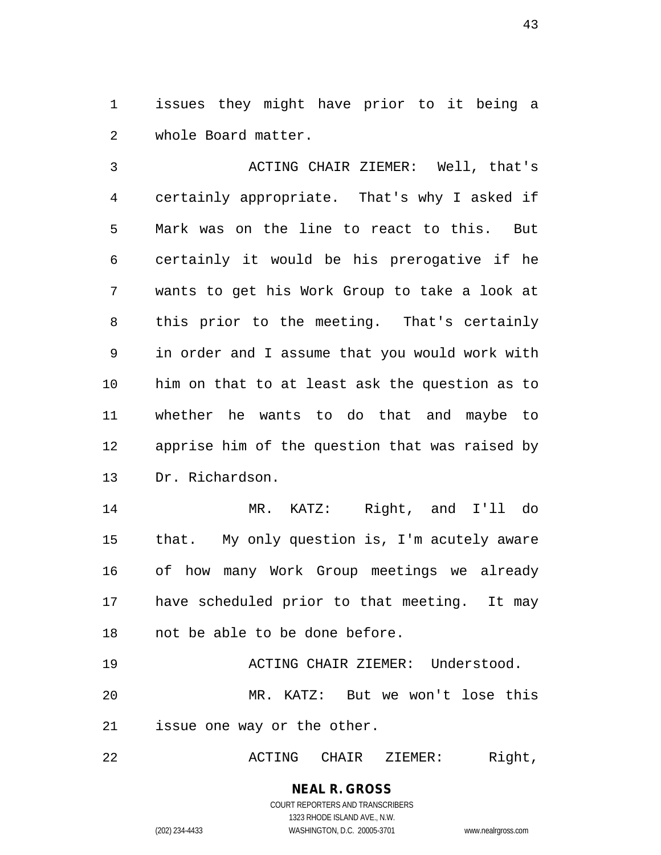issues they might have prior to it being a whole Board matter.

 ACTING CHAIR ZIEMER: Well, that's certainly appropriate. That's why I asked if Mark was on the line to react to this. But certainly it would be his prerogative if he wants to get his Work Group to take a look at this prior to the meeting. That's certainly in order and I assume that you would work with him on that to at least ask the question as to whether he wants to do that and maybe to apprise him of the question that was raised by Dr. Richardson.

 MR. KATZ: Right, and I'll do that. My only question is, I'm acutely aware of how many Work Group meetings we already have scheduled prior to that meeting. It may not be able to be done before.

 ACTING CHAIR ZIEMER: Understood. MR. KATZ: But we won't lose this issue one way or the other.

ACTING CHAIR ZIEMER: Right,

#### **NEAL R. GROSS** COURT REPORTERS AND TRANSCRIBERS 1323 RHODE ISLAND AVE., N.W.

(202) 234-4433 WASHINGTON, D.C. 20005-3701 www.nealrgross.com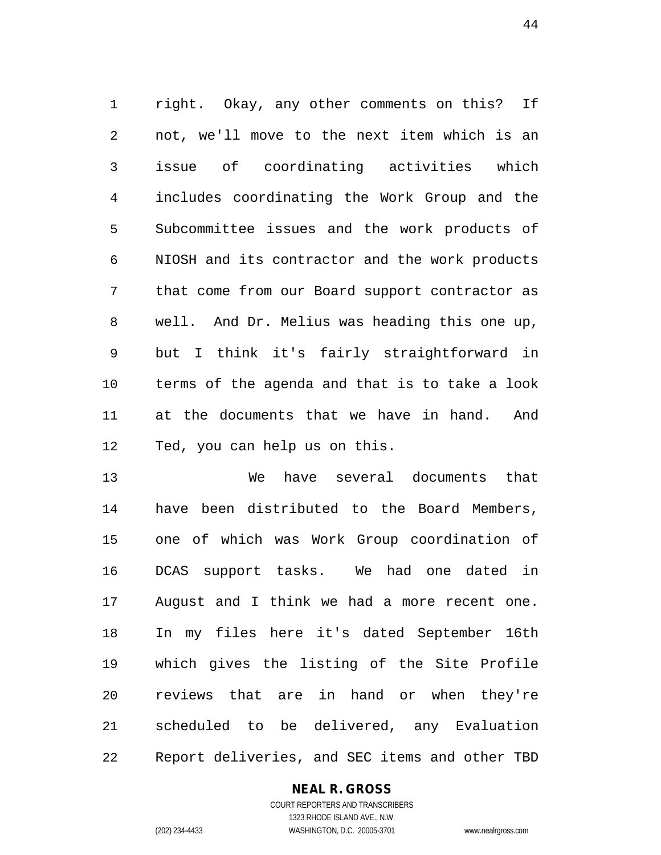right. Okay, any other comments on this? If not, we'll move to the next item which is an issue of coordinating activities which includes coordinating the Work Group and the Subcommittee issues and the work products of NIOSH and its contractor and the work products that come from our Board support contractor as well. And Dr. Melius was heading this one up, but I think it's fairly straightforward in terms of the agenda and that is to take a look at the documents that we have in hand. And Ted, you can help us on this.

 We have several documents that have been distributed to the Board Members, one of which was Work Group coordination of DCAS support tasks. We had one dated in August and I think we had a more recent one. In my files here it's dated September 16th which gives the listing of the Site Profile reviews that are in hand or when they're scheduled to be delivered, any Evaluation Report deliveries, and SEC items and other TBD

#### **NEAL R. GROSS**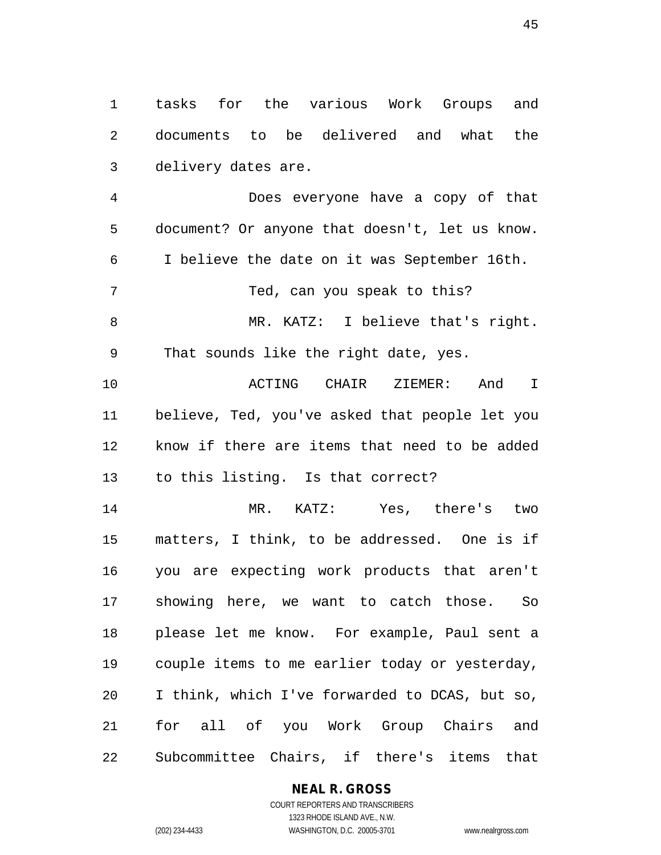tasks for the various Work Groups and documents to be delivered and what the delivery dates are.

 Does everyone have a copy of that document? Or anyone that doesn't, let us know. I believe the date on it was September 16th. 7 Ted, can you speak to this? 8 MR. KATZ: I believe that's right. That sounds like the right date, yes. ACTING CHAIR ZIEMER: And I believe, Ted, you've asked that people let you know if there are items that need to be added to this listing. Is that correct? MR. KATZ: Yes, there's two matters, I think, to be addressed. One is if you are expecting work products that aren't

 showing here, we want to catch those. So please let me know. For example, Paul sent a couple items to me earlier today or yesterday, I think, which I've forwarded to DCAS, but so, for all of you Work Group Chairs and Subcommittee Chairs, if there's items that

#### **NEAL R. GROSS**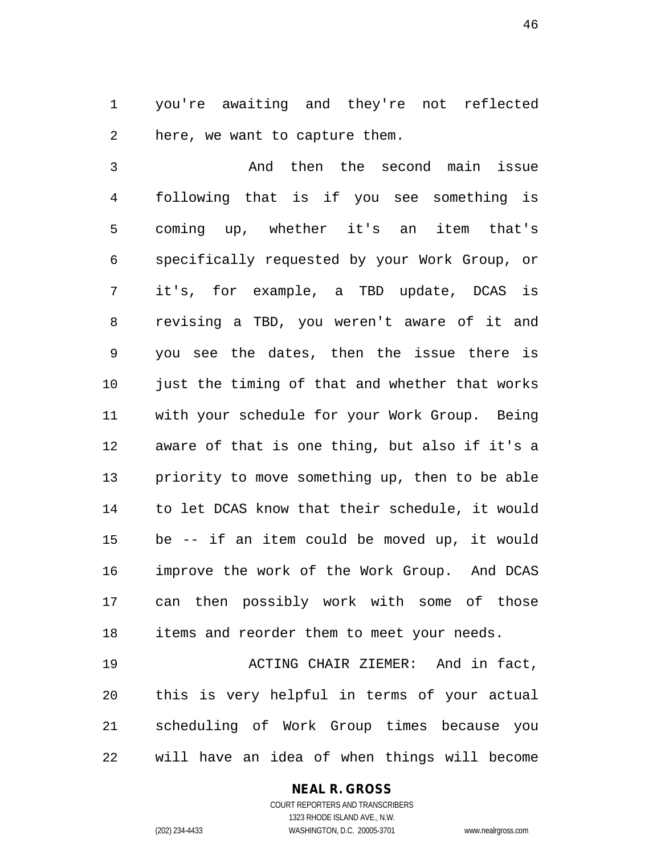you're awaiting and they're not reflected here, we want to capture them.

 And then the second main issue following that is if you see something is coming up, whether it's an item that's specifically requested by your Work Group, or it's, for example, a TBD update, DCAS is revising a TBD, you weren't aware of it and you see the dates, then the issue there is 10 just the timing of that and whether that works with your schedule for your Work Group. Being aware of that is one thing, but also if it's a priority to move something up, then to be able to let DCAS know that their schedule, it would be -- if an item could be moved up, it would improve the work of the Work Group. And DCAS can then possibly work with some of those items and reorder them to meet your needs.

 ACTING CHAIR ZIEMER: And in fact, this is very helpful in terms of your actual scheduling of Work Group times because you will have an idea of when things will become

#### **NEAL R. GROSS**

COURT REPORTERS AND TRANSCRIBERS 1323 RHODE ISLAND AVE., N.W. (202) 234-4433 WASHINGTON, D.C. 20005-3701 www.nealrgross.com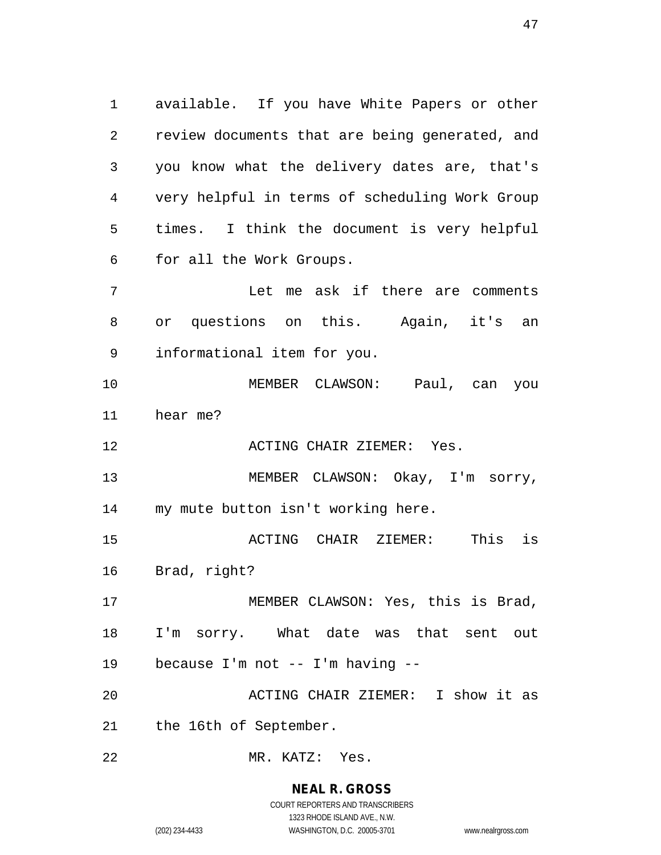available. If you have White Papers or other review documents that are being generated, and you know what the delivery dates are, that's very helpful in terms of scheduling Work Group times. I think the document is very helpful for all the Work Groups.

 Let me ask if there are comments or questions on this. Again, it's an informational item for you.

 MEMBER CLAWSON: Paul, can you hear me?

**ACTING CHAIR ZIEMER:** Yes.

 MEMBER CLAWSON: Okay, I'm sorry, my mute button isn't working here.

 ACTING CHAIR ZIEMER: This is Brad, right?

17 MEMBER CLAWSON: Yes, this is Brad, I'm sorry. What date was that sent out because I'm not -- I'm having --

 ACTING CHAIR ZIEMER: I show it as the 16th of September.

MR. KATZ: Yes.

## **NEAL R. GROSS**

COURT REPORTERS AND TRANSCRIBERS 1323 RHODE ISLAND AVE., N.W. (202) 234-4433 WASHINGTON, D.C. 20005-3701 www.nealrgross.com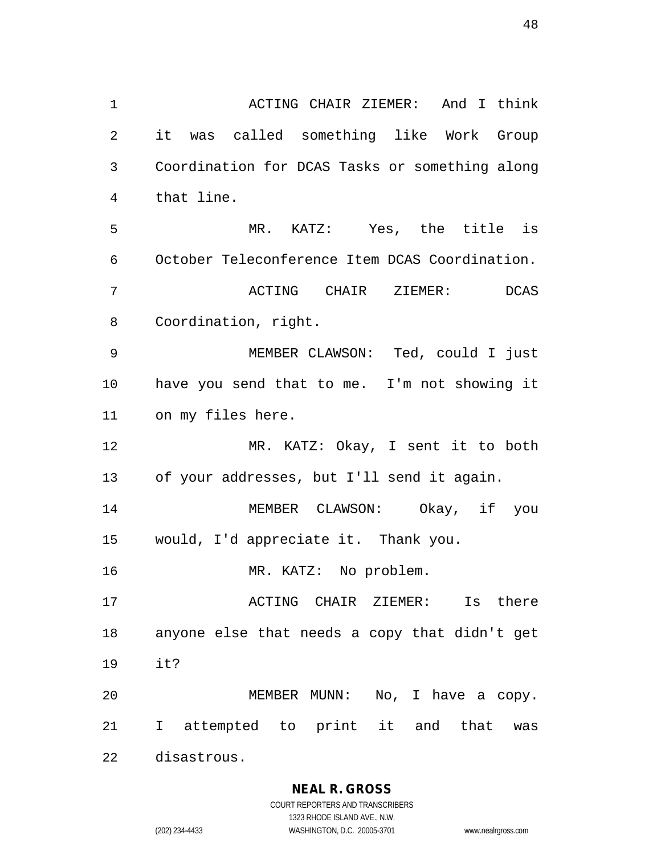ACTING CHAIR ZIEMER: And I think it was called something like Work Group Coordination for DCAS Tasks or something along that line. MR. KATZ: Yes, the title is October Teleconference Item DCAS Coordination. ACTING CHAIR ZIEMER: DCAS Coordination, right. MEMBER CLAWSON: Ted, could I just have you send that to me. I'm not showing it on my files here. MR. KATZ: Okay, I sent it to both of your addresses, but I'll send it again. MEMBER CLAWSON: Okay, if you would, I'd appreciate it. Thank you. MR. KATZ: No problem. ACTING CHAIR ZIEMER: Is there anyone else that needs a copy that didn't get it? MEMBER MUNN: No, I have a copy. I attempted to print it and that was disastrous.

**NEAL R. GROSS**

COURT REPORTERS AND TRANSCRIBERS 1323 RHODE ISLAND AVE., N.W. (202) 234-4433 WASHINGTON, D.C. 20005-3701 www.nealrgross.com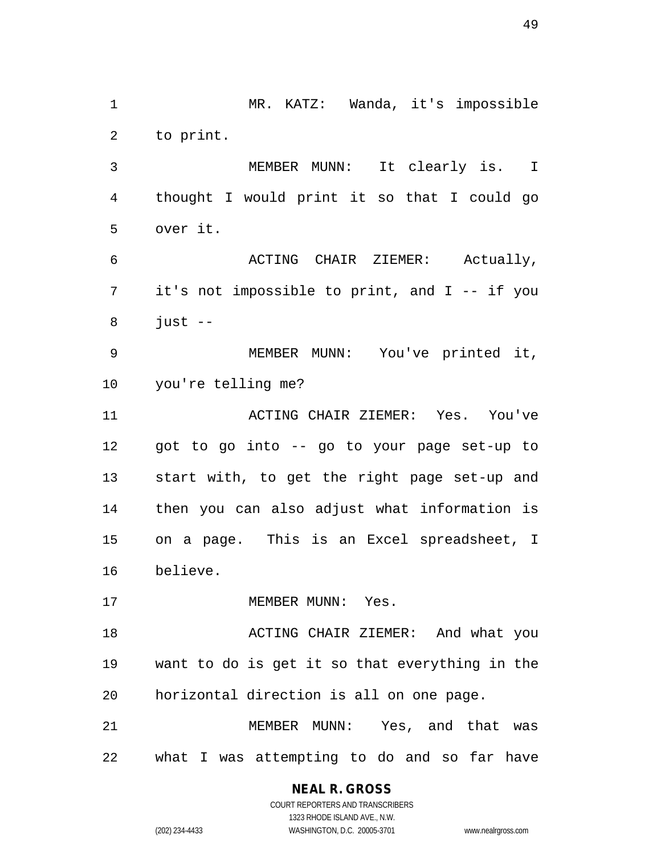MR. KATZ: Wanda, it's impossible to print. MEMBER MUNN: It clearly is. I thought I would print it so that I could go over it. ACTING CHAIR ZIEMER: Actually, it's not impossible to print, and I -- if you just  $-$  MEMBER MUNN: You've printed it, you're telling me? ACTING CHAIR ZIEMER: Yes. You've got to go into -- go to your page set-up to start with, to get the right page set-up and then you can also adjust what information is on a page. This is an Excel spreadsheet, I believe. 17 MEMBER MUNN: Yes. ACTING CHAIR ZIEMER: And what you want to do is get it so that everything in the horizontal direction is all on one page. MEMBER MUNN: Yes, and that was what I was attempting to do and so far have

> **NEAL R. GROSS** COURT REPORTERS AND TRANSCRIBERS

> > 1323 RHODE ISLAND AVE., N.W.

(202) 234-4433 WASHINGTON, D.C. 20005-3701 www.nealrgross.com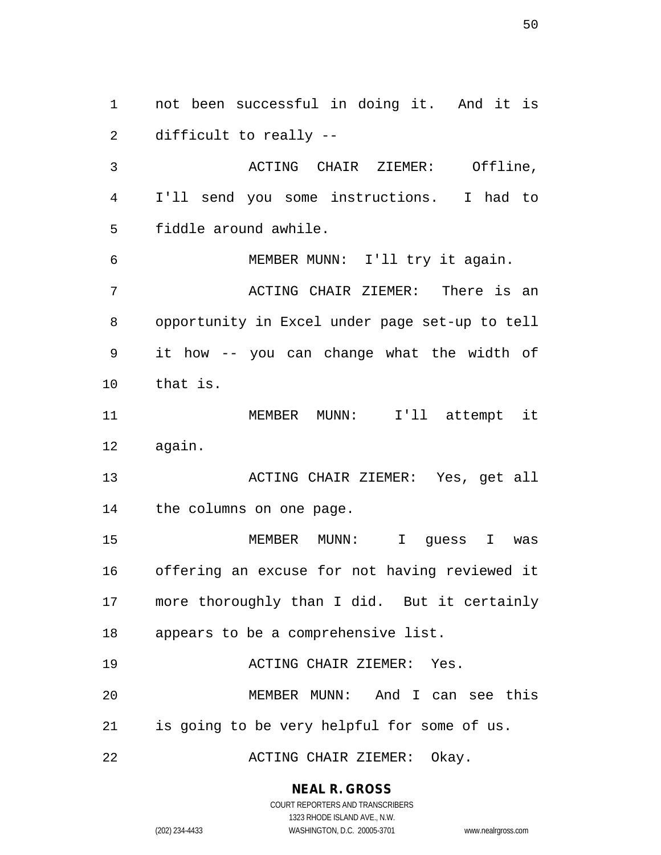not been successful in doing it. And it is difficult to really -- ACTING CHAIR ZIEMER: Offline, I'll send you some instructions. I had to fiddle around awhile. MEMBER MUNN: I'll try it again. ACTING CHAIR ZIEMER: There is an opportunity in Excel under page set-up to tell it how -- you can change what the width of that is. MEMBER MUNN: I'll attempt it again. ACTING CHAIR ZIEMER: Yes, get all the columns on one page. MEMBER MUNN: I guess I was offering an excuse for not having reviewed it more thoroughly than I did. But it certainly appears to be a comprehensive list. ACTING CHAIR ZIEMER: Yes. MEMBER MUNN: And I can see this is going to be very helpful for some of us. ACTING CHAIR ZIEMER: Okay.

#### **NEAL R. GROSS**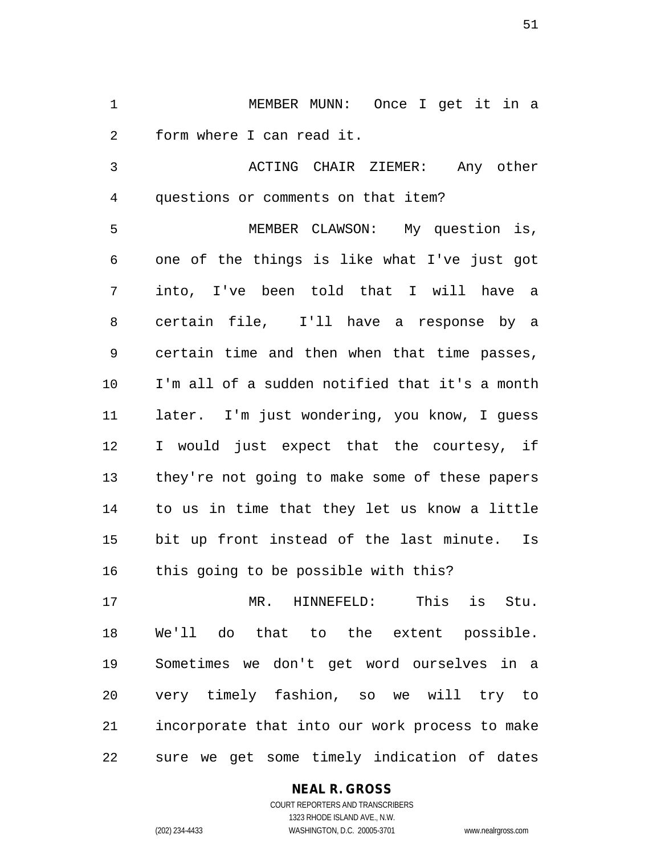MEMBER MUNN: Once I get it in a form where I can read it.

 ACTING CHAIR ZIEMER: Any other questions or comments on that item?

 MEMBER CLAWSON: My question is, one of the things is like what I've just got into, I've been told that I will have a certain file, I'll have a response by a certain time and then when that time passes, I'm all of a sudden notified that it's a month later. I'm just wondering, you know, I guess I would just expect that the courtesy, if they're not going to make some of these papers to us in time that they let us know a little bit up front instead of the last minute. Is this going to be possible with this?

 MR. HINNEFELD: This is Stu. We'll do that to the extent possible. Sometimes we don't get word ourselves in a very timely fashion, so we will try to incorporate that into our work process to make sure we get some timely indication of dates

#### **NEAL R. GROSS**

COURT REPORTERS AND TRANSCRIBERS 1323 RHODE ISLAND AVE., N.W. (202) 234-4433 WASHINGTON, D.C. 20005-3701 www.nealrgross.com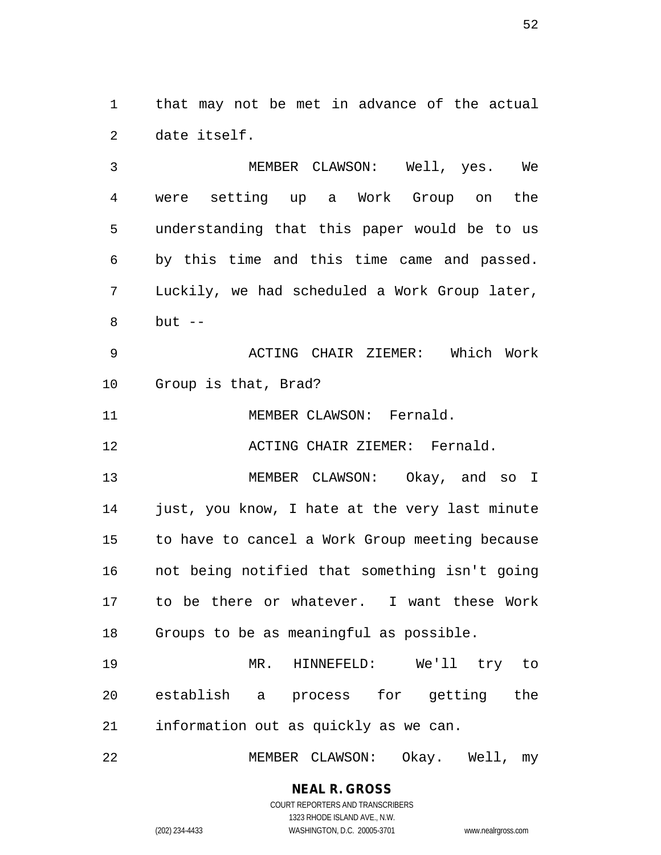that may not be met in advance of the actual date itself.

 MEMBER CLAWSON: Well, yes. We were setting up a Work Group on the understanding that this paper would be to us by this time and this time came and passed. Luckily, we had scheduled a Work Group later, but  $-$ 

 ACTING CHAIR ZIEMER: Which Work Group is that, Brad?

11 MEMBER CLAWSON: Fernald.

ACTING CHAIR ZIEMER: Fernald.

 MEMBER CLAWSON: Okay, and so I just, you know, I hate at the very last minute to have to cancel a Work Group meeting because not being notified that something isn't going to be there or whatever. I want these Work Groups to be as meaningful as possible.

 MR. HINNEFELD: We'll try to establish a process for getting the information out as quickly as we can.

MEMBER CLAWSON: Okay. Well, my

# **NEAL R. GROSS**

COURT REPORTERS AND TRANSCRIBERS 1323 RHODE ISLAND AVE., N.W. (202) 234-4433 WASHINGTON, D.C. 20005-3701 www.nealrgross.com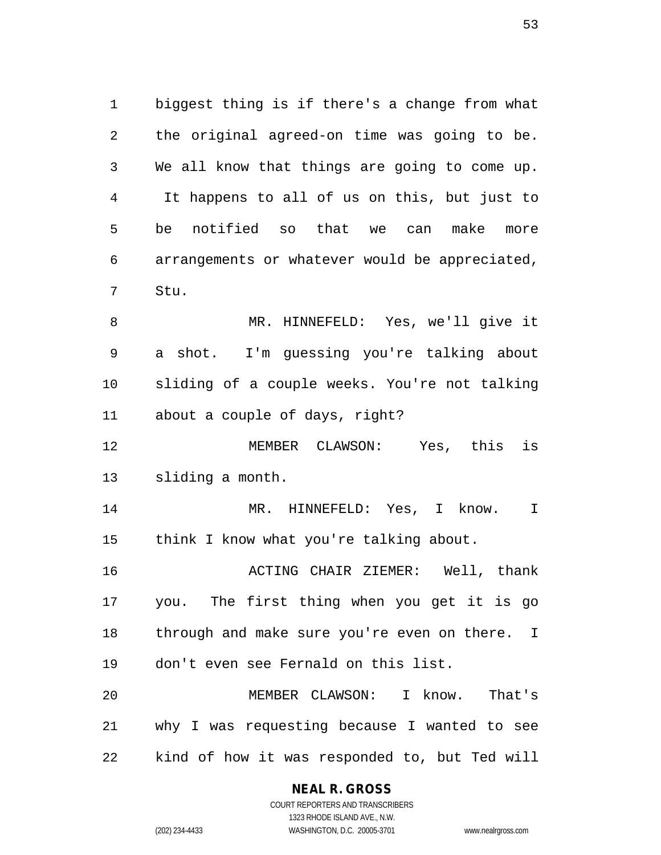biggest thing is if there's a change from what the original agreed-on time was going to be. We all know that things are going to come up. It happens to all of us on this, but just to be notified so that we can make more arrangements or whatever would be appreciated, Stu.

 MR. HINNEFELD: Yes, we'll give it a shot. I'm guessing you're talking about sliding of a couple weeks. You're not talking about a couple of days, right?

 MEMBER CLAWSON: Yes, this is sliding a month.

 MR. HINNEFELD: Yes, I know. I think I know what you're talking about.

 ACTING CHAIR ZIEMER: Well, thank you. The first thing when you get it is go 18 through and make sure you're even on there. I don't even see Fernald on this list.

 MEMBER CLAWSON: I know. That's why I was requesting because I wanted to see kind of how it was responded to, but Ted will

#### **NEAL R. GROSS**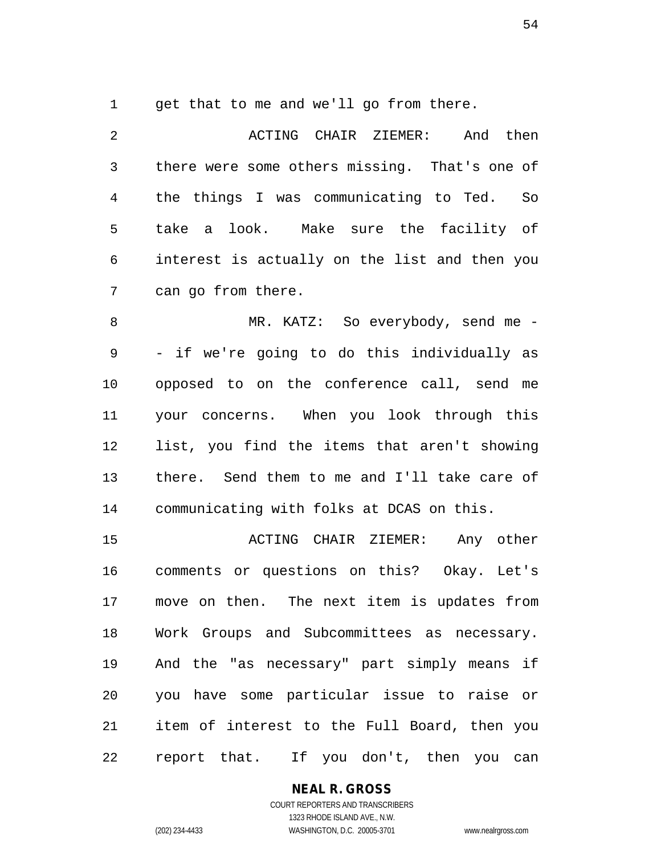get that to me and we'll go from there.

2 ACTING CHAIR ZIEMER: And then there were some others missing. That's one of the things I was communicating to Ted. So take a look. Make sure the facility of interest is actually on the list and then you can go from there.

 MR. KATZ: So everybody, send me - - if we're going to do this individually as opposed to on the conference call, send me your concerns. When you look through this list, you find the items that aren't showing there. Send them to me and I'll take care of communicating with folks at DCAS on this.

 ACTING CHAIR ZIEMER: Any other comments or questions on this? Okay. Let's move on then. The next item is updates from Work Groups and Subcommittees as necessary. And the "as necessary" part simply means if you have some particular issue to raise or item of interest to the Full Board, then you report that. If you don't, then you can

## **NEAL R. GROSS**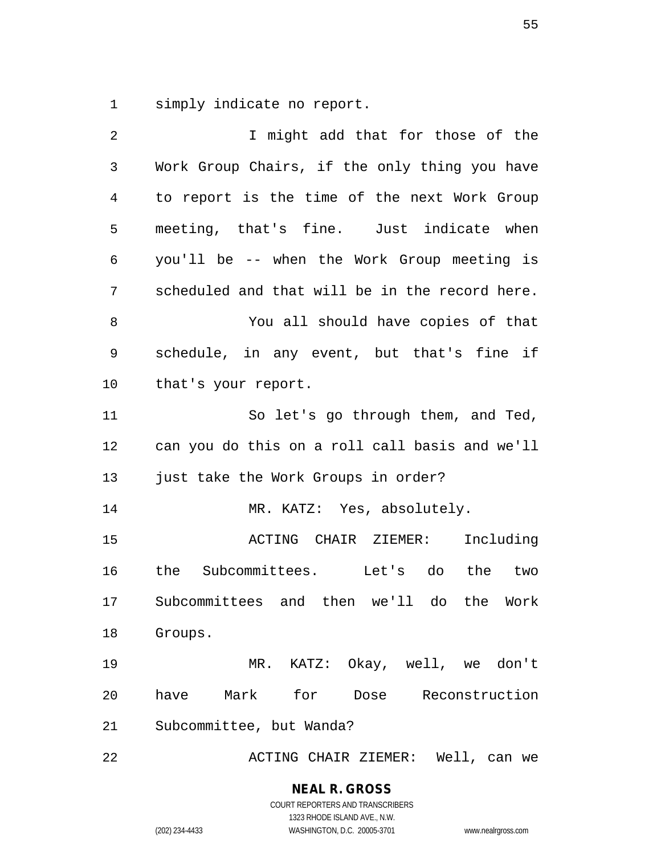simply indicate no report.

| $\overline{2}$ | I might add that for those of the              |
|----------------|------------------------------------------------|
| $\mathfrak{Z}$ | Work Group Chairs, if the only thing you have  |
| 4              | to report is the time of the next Work Group   |
| 5              | meeting, that's fine. Just indicate when       |
| 6              | you'll be -- when the Work Group meeting is    |
| 7              | scheduled and that will be in the record here. |
| 8              | You all should have copies of that             |
| 9              | schedule, in any event, but that's fine if     |
| 10             | that's your report.                            |
| 11             | So let's go through them, and Ted,             |
| 12             | can you do this on a roll call basis and we'll |
| 13             | just take the Work Groups in order?            |
| 14             | MR. KATZ: Yes, absolutely.                     |
| 15             | ACTING CHAIR ZIEMER:<br>Including              |
| 16             | the Subcommittees. Let's do the two            |
| 17             | Subcommittees and then we'll do the Work       |
| 18             | Groups.                                        |
| 19             | MR. KATZ: Okay, well, we don't                 |
| 20             | have Mark for<br>Reconstruction<br>Dose        |
| 21             | Subcommittee, but Wanda?                       |
| 22             | ACTING CHAIR ZIEMER: Well, can we              |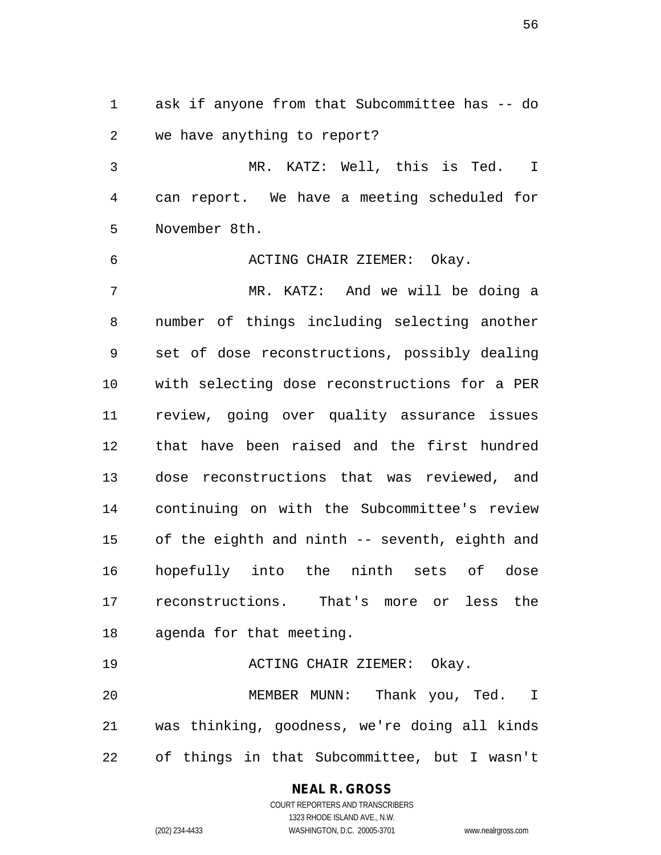ask if anyone from that Subcommittee has -- do we have anything to report?

 MR. KATZ: Well, this is Ted. I can report. We have a meeting scheduled for November 8th.

ACTING CHAIR ZIEMER: Okay.

 MR. KATZ: And we will be doing a number of things including selecting another set of dose reconstructions, possibly dealing with selecting dose reconstructions for a PER review, going over quality assurance issues that have been raised and the first hundred dose reconstructions that was reviewed, and continuing on with the Subcommittee's review of the eighth and ninth -- seventh, eighth and hopefully into the ninth sets of dose reconstructions. That's more or less the agenda for that meeting.

 ACTING CHAIR ZIEMER: Okay. MEMBER MUNN: Thank you, Ted. I was thinking, goodness, we're doing all kinds of things in that Subcommittee, but I wasn't

> **NEAL R. GROSS** COURT REPORTERS AND TRANSCRIBERS 1323 RHODE ISLAND AVE., N.W. (202) 234-4433 WASHINGTON, D.C. 20005-3701 www.nealrgross.com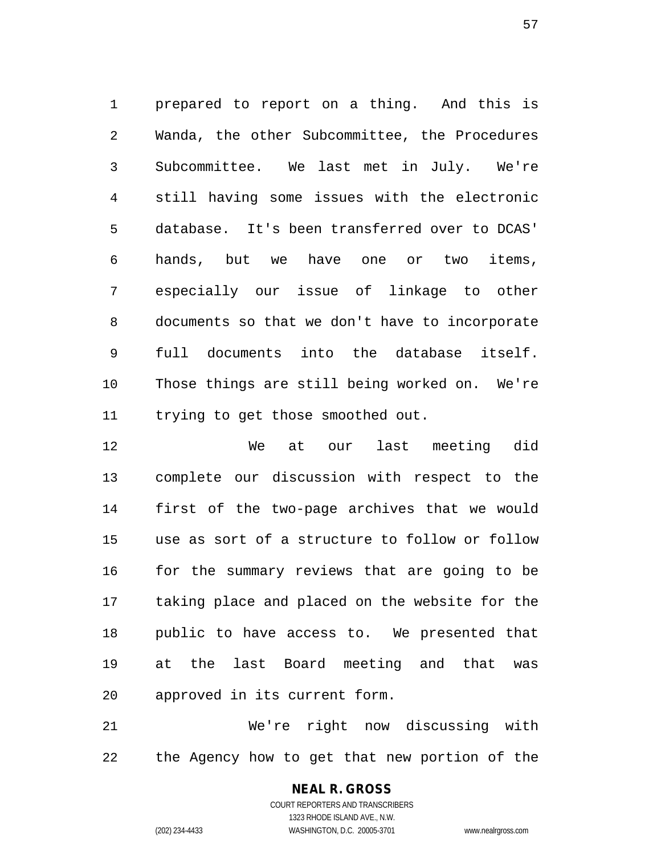prepared to report on a thing. And this is Wanda, the other Subcommittee, the Procedures Subcommittee. We last met in July. We're still having some issues with the electronic database. It's been transferred over to DCAS' hands, but we have one or two items, especially our issue of linkage to other documents so that we don't have to incorporate full documents into the database itself. Those things are still being worked on. We're trying to get those smoothed out.

 We at our last meeting did complete our discussion with respect to the first of the two-page archives that we would use as sort of a structure to follow or follow for the summary reviews that are going to be taking place and placed on the website for the public to have access to. We presented that at the last Board meeting and that was approved in its current form.

 We're right now discussing with the Agency how to get that new portion of the

> **NEAL R. GROSS** COURT REPORTERS AND TRANSCRIBERS 1323 RHODE ISLAND AVE., N.W. (202) 234-4433 WASHINGTON, D.C. 20005-3701 www.nealrgross.com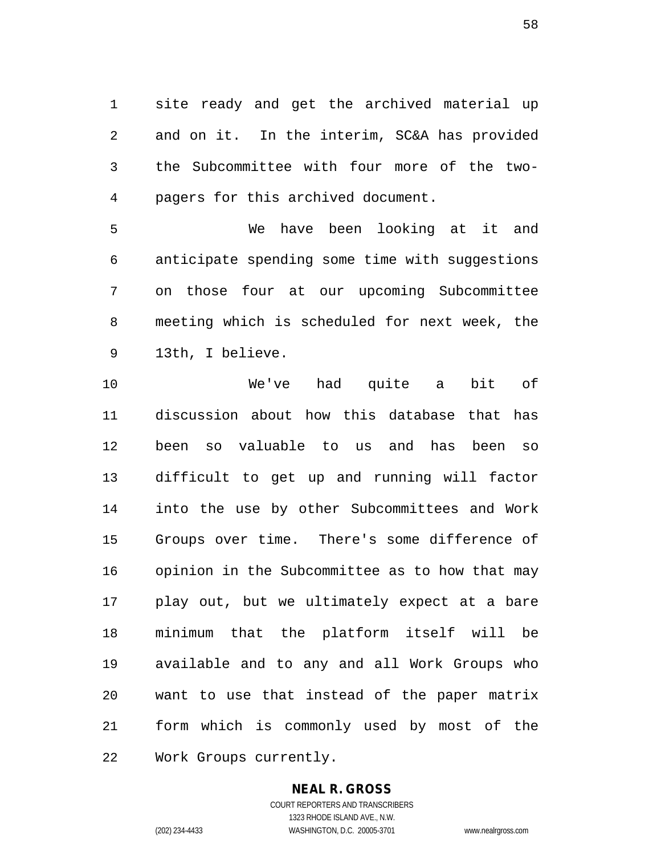site ready and get the archived material up and on it. In the interim, SC&A has provided the Subcommittee with four more of the two-pagers for this archived document.

 We have been looking at it and anticipate spending some time with suggestions on those four at our upcoming Subcommittee meeting which is scheduled for next week, the 13th, I believe.

 We've had quite a bit of discussion about how this database that has been so valuable to us and has been so difficult to get up and running will factor into the use by other Subcommittees and Work Groups over time. There's some difference of opinion in the Subcommittee as to how that may play out, but we ultimately expect at a bare minimum that the platform itself will be available and to any and all Work Groups who want to use that instead of the paper matrix form which is commonly used by most of the Work Groups currently.

## **NEAL R. GROSS**

COURT REPORTERS AND TRANSCRIBERS 1323 RHODE ISLAND AVE., N.W. (202) 234-4433 WASHINGTON, D.C. 20005-3701 www.nealrgross.com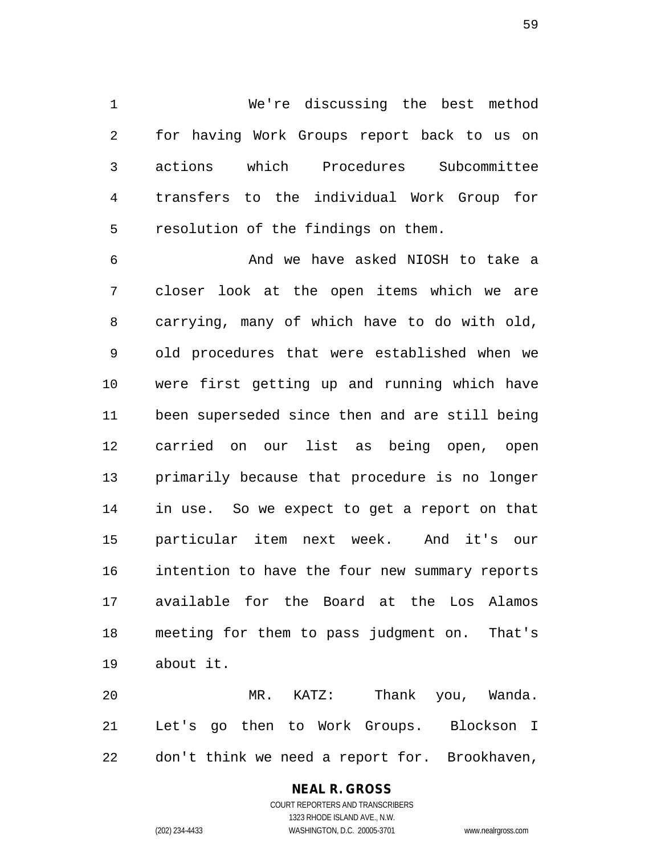We're discussing the best method for having Work Groups report back to us on actions which Procedures Subcommittee transfers to the individual Work Group for resolution of the findings on them.

 And we have asked NIOSH to take a closer look at the open items which we are carrying, many of which have to do with old, old procedures that were established when we were first getting up and running which have been superseded since then and are still being carried on our list as being open, open primarily because that procedure is no longer in use. So we expect to get a report on that particular item next week. And it's our intention to have the four new summary reports available for the Board at the Los Alamos meeting for them to pass judgment on. That's about it.

 MR. KATZ: Thank you, Wanda. Let's go then to Work Groups. Blockson I don't think we need a report for. Brookhaven,

#### **NEAL R. GROSS** COURT REPORTERS AND TRANSCRIBERS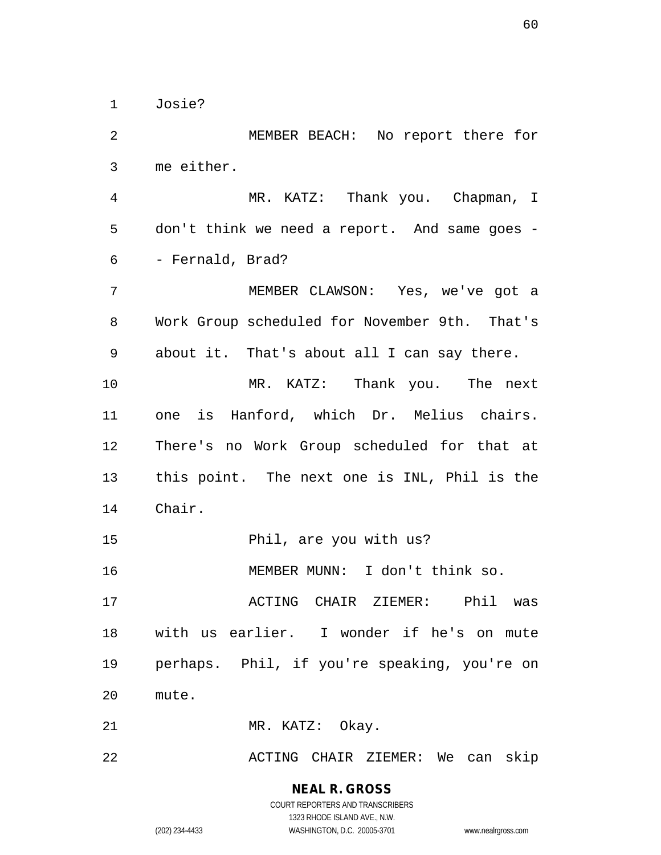Josie?

 MEMBER BEACH: No report there for me either. MR. KATZ: Thank you. Chapman, I don't think we need a report. And same goes - - Fernald, Brad? MEMBER CLAWSON: Yes, we've got a Work Group scheduled for November 9th. That's about it. That's about all I can say there. MR. KATZ: Thank you. The next one is Hanford, which Dr. Melius chairs. There's no Work Group scheduled for that at this point. The next one is INL, Phil is the Chair. Phil, are you with us? MEMBER MUNN: I don't think so. ACTING CHAIR ZIEMER: Phil was with us earlier. I wonder if he's on mute perhaps. Phil, if you're speaking, you're on mute. 21 MR. KATZ: Okay. ACTING CHAIR ZIEMER: We can skip

> **NEAL R. GROSS** COURT REPORTERS AND TRANSCRIBERS

> > 1323 RHODE ISLAND AVE., N.W.

(202) 234-4433 WASHINGTON, D.C. 20005-3701 www.nealrgross.com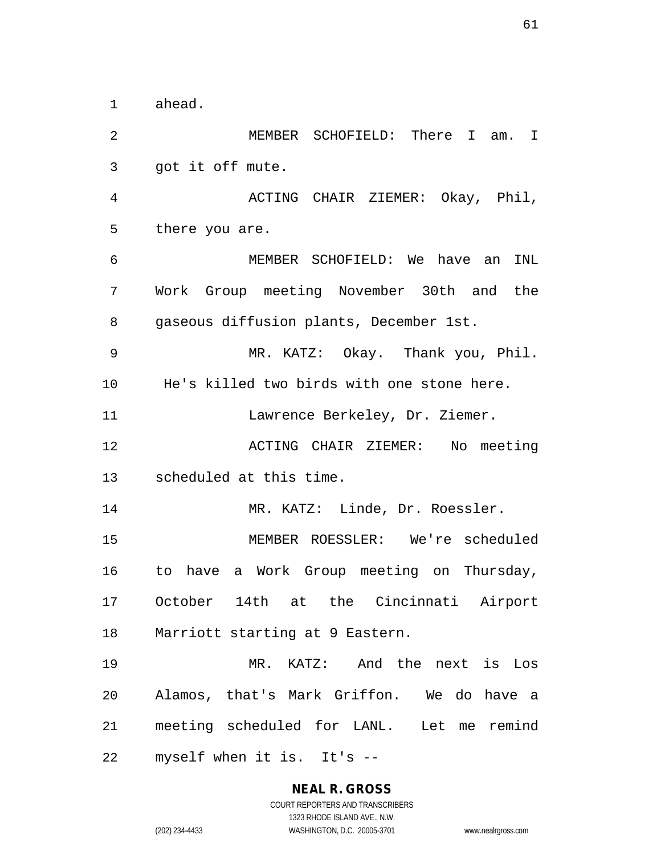ahead.

 MEMBER SCHOFIELD: There I am. I got it off mute. ACTING CHAIR ZIEMER: Okay, Phil, there you are. MEMBER SCHOFIELD: We have an INL Work Group meeting November 30th and the gaseous diffusion plants, December 1st. MR. KATZ: Okay. Thank you, Phil. He's killed two birds with one stone here. 11 Lawrence Berkeley, Dr. Ziemer. ACTING CHAIR ZIEMER: No meeting scheduled at this time. 14 MR. KATZ: Linde, Dr. Roessler. MEMBER ROESSLER: We're scheduled to have a Work Group meeting on Thursday, October 14th at the Cincinnati Airport Marriott starting at 9 Eastern. MR. KATZ: And the next is Los Alamos, that's Mark Griffon. We do have a meeting scheduled for LANL. Let me remind myself when it is. It's --

> **NEAL R. GROSS** COURT REPORTERS AND TRANSCRIBERS

> > 1323 RHODE ISLAND AVE., N.W.

(202) 234-4433 WASHINGTON, D.C. 20005-3701 www.nealrgross.com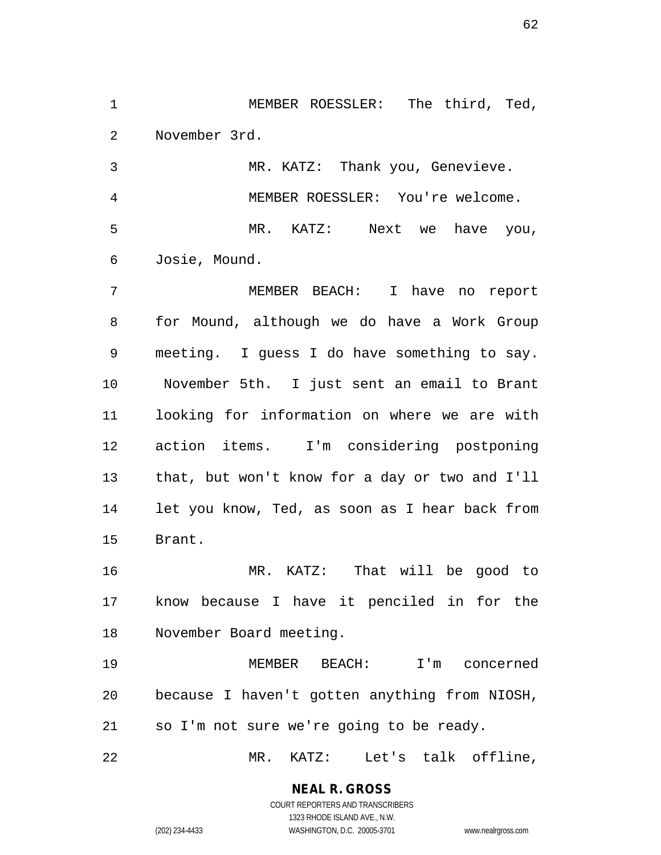MEMBER ROESSLER: The third, Ted, November 3rd.

 MR. KATZ: Thank you, Genevieve. MEMBER ROESSLER: You're welcome. MR. KATZ: Next we have you, Josie, Mound.

 MEMBER BEACH: I have no report for Mound, although we do have a Work Group meeting. I guess I do have something to say. November 5th. I just sent an email to Brant looking for information on where we are with action items. I'm considering postponing that, but won't know for a day or two and I'll let you know, Ted, as soon as I hear back from Brant.

 MR. KATZ: That will be good to know because I have it penciled in for the November Board meeting.

 MEMBER BEACH: I'm concerned because I haven't gotten anything from NIOSH, so I'm not sure we're going to be ready.

MR. KATZ: Let's talk offline,

**NEAL R. GROSS** COURT REPORTERS AND TRANSCRIBERS

1323 RHODE ISLAND AVE., N.W. (202) 234-4433 WASHINGTON, D.C. 20005-3701 www.nealrgross.com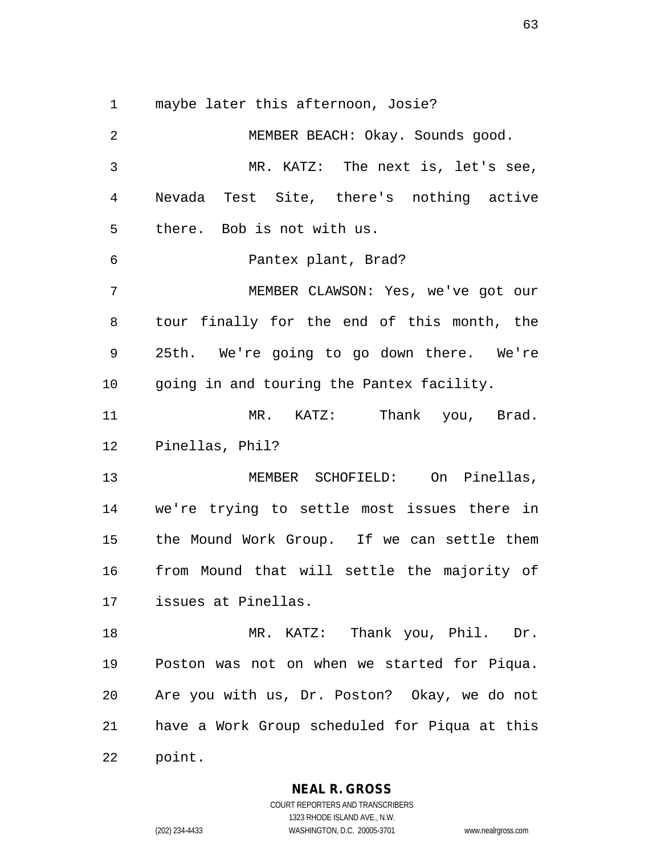maybe later this afternoon, Josie?

 MEMBER BEACH: Okay. Sounds good. MR. KATZ: The next is, let's see, Nevada Test Site, there's nothing active there. Bob is not with us. Pantex plant, Brad? MEMBER CLAWSON: Yes, we've got our tour finally for the end of this month, the 25th. We're going to go down there. We're going in and touring the Pantex facility. MR. KATZ: Thank you, Brad. Pinellas, Phil? MEMBER SCHOFIELD: On Pinellas, we're trying to settle most issues there in the Mound Work Group. If we can settle them from Mound that will settle the majority of issues at Pinellas. MR. KATZ: Thank you, Phil. Dr. Poston was not on when we started for Piqua. Are you with us, Dr. Poston? Okay, we do not have a Work Group scheduled for Piqua at this point.

**NEAL R. GROSS**

COURT REPORTERS AND TRANSCRIBERS 1323 RHODE ISLAND AVE., N.W. (202) 234-4433 WASHINGTON, D.C. 20005-3701 www.nealrgross.com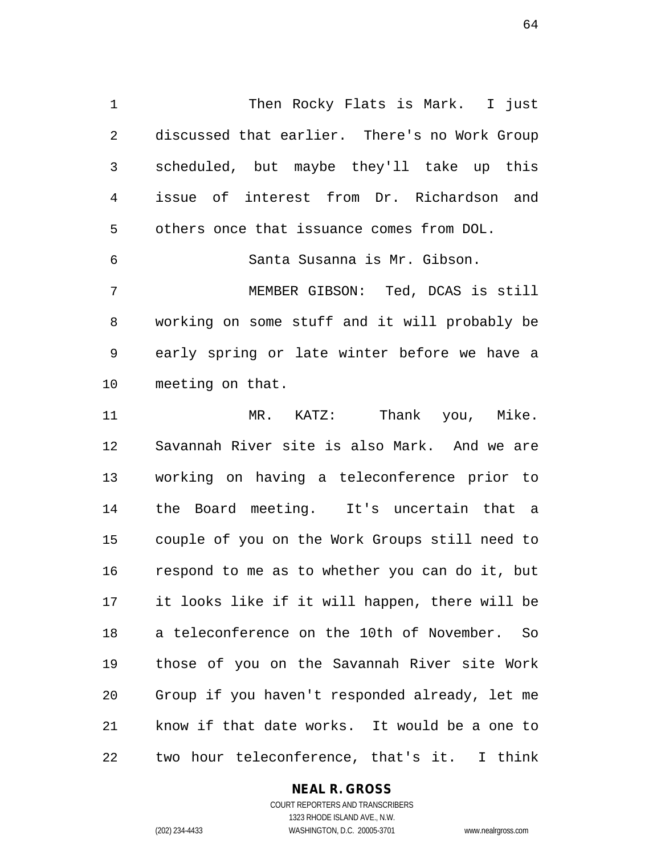Then Rocky Flats is Mark. I just discussed that earlier. There's no Work Group scheduled, but maybe they'll take up this issue of interest from Dr. Richardson and others once that issuance comes from DOL. Santa Susanna is Mr. Gibson.

 MEMBER GIBSON: Ted, DCAS is still working on some stuff and it will probably be early spring or late winter before we have a meeting on that.

 MR. KATZ: Thank you, Mike. Savannah River site is also Mark. And we are working on having a teleconference prior to the Board meeting. It's uncertain that a couple of you on the Work Groups still need to respond to me as to whether you can do it, but it looks like if it will happen, there will be a teleconference on the 10th of November. So those of you on the Savannah River site Work Group if you haven't responded already, let me know if that date works. It would be a one to two hour teleconference, that's it. I think

#### **NEAL R. GROSS** COURT REPORTERS AND TRANSCRIBERS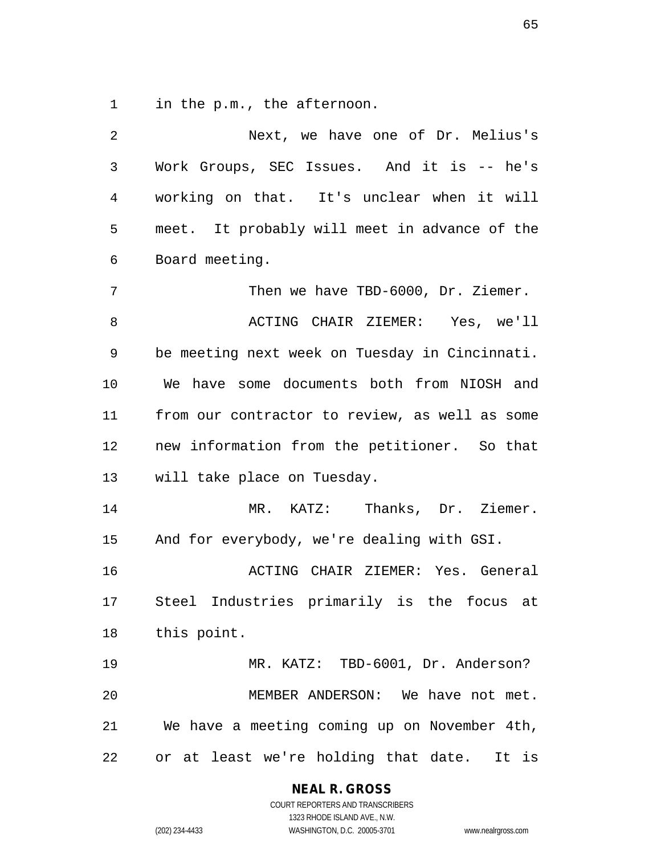in the p.m., the afternoon.

| 2  | Next, we have one of Dr. Melius's                |
|----|--------------------------------------------------|
| 3  | Work Groups, SEC Issues. And it is -- he's       |
| 4  | working on that. It's unclear when it will       |
| 5  | meet. It probably will meet in advance of the    |
| 6  | Board meeting.                                   |
| 7  | Then we have TBD-6000, Dr. Ziemer.               |
| 8  | ACTING CHAIR ZIEMER: Yes, we'll                  |
| 9  | be meeting next week on Tuesday in Cincinnati.   |
| 10 | We have some documents both from NIOSH and       |
| 11 | from our contractor to review, as well as some   |
| 12 | new information from the petitioner. So that     |
| 13 | will take place on Tuesday.                      |
| 14 | MR. KATZ: Thanks, Dr. Ziemer.                    |
| 15 | And for everybody, we're dealing with GSI.       |
| 16 | ACTING CHAIR ZIEMER: Yes. General                |
| 17 | Steel Industries primarily is the focus at       |
|    | 18 this point.                                   |
| 19 | MR. KATZ: TBD-6001, Dr. Anderson?                |
| 20 | MEMBER ANDERSON: We have not met.                |
| 21 | We have a meeting coming up on November 4th,     |
| 22 | at least we're holding that date.<br>It is<br>or |

**NEAL R. GROSS**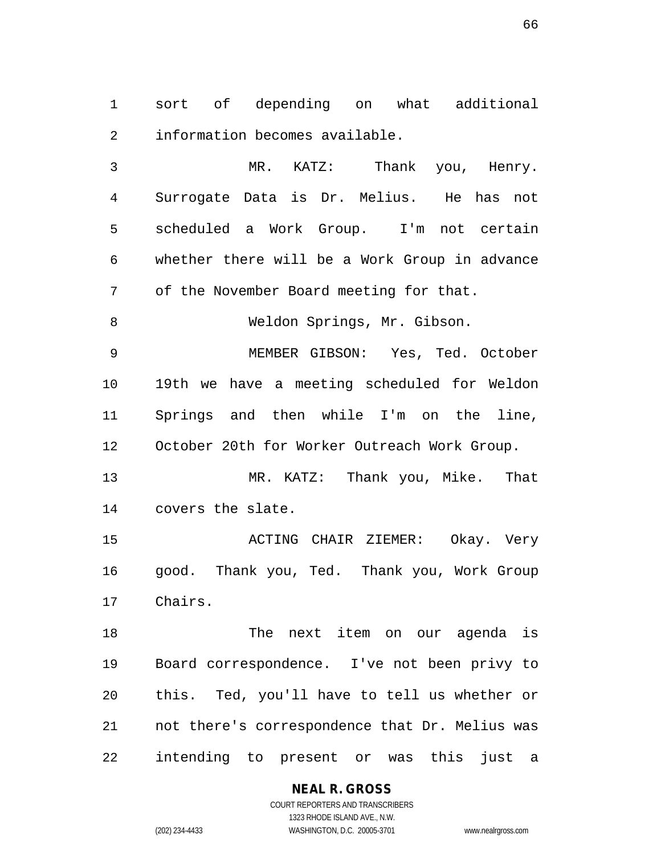sort of depending on what additional information becomes available.

 MR. KATZ: Thank you, Henry. Surrogate Data is Dr. Melius. He has not scheduled a Work Group. I'm not certain whether there will be a Work Group in advance of the November Board meeting for that. Weldon Springs, Mr. Gibson. MEMBER GIBSON: Yes, Ted. October 19th we have a meeting scheduled for Weldon Springs and then while I'm on the line,

October 20th for Worker Outreach Work Group.

 MR. KATZ: Thank you, Mike. That covers the slate.

 ACTING CHAIR ZIEMER: Okay. Very good. Thank you, Ted. Thank you, Work Group Chairs.

 The next item on our agenda is Board correspondence. I've not been privy to this. Ted, you'll have to tell us whether or not there's correspondence that Dr. Melius was intending to present or was this just a

> **NEAL R. GROSS** COURT REPORTERS AND TRANSCRIBERS 1323 RHODE ISLAND AVE., N.W.

(202) 234-4433 WASHINGTON, D.C. 20005-3701 www.nealrgross.com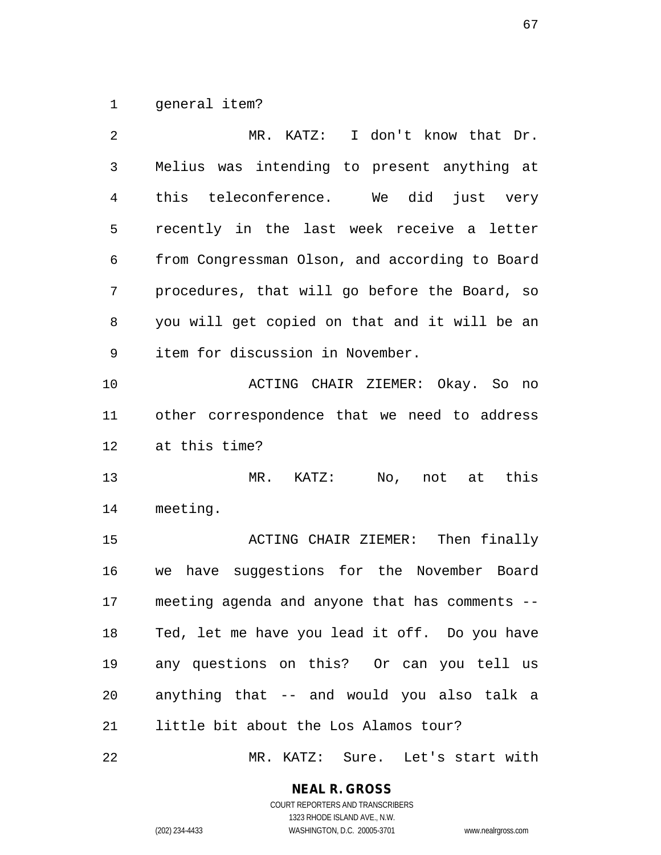general item?

| 2  | MR. KATZ: I don't know that Dr.                |
|----|------------------------------------------------|
| 3  | Melius was intending to present anything at    |
| 4  | teleconference. We did just very<br>this       |
| 5  | recently in the last week receive a letter     |
| 6  | from Congressman Olson, and according to Board |
| 7  | procedures, that will go before the Board, so  |
| 8  | you will get copied on that and it will be an  |
| 9  | item for discussion in November.               |
| 10 | ACTING CHAIR ZIEMER: Okay. So no               |
| 11 | other correspondence that we need to address   |
| 12 | at this time?                                  |
| 13 | No, not at this<br>$MR.$ $KATZ:$               |
| 14 | meeting.                                       |
| 15 | ACTING CHAIR ZIEMER: Then finally              |
| 16 | we have suggestions for the November Board     |
| 17 | meeting agenda and anyone that has comments -- |
| 18 | Ted, let me have you lead it off. Do you have  |
| 19 | any questions on this? Or can you tell us      |
| 20 | anything that -- and would you also talk a     |
| 21 | little bit about the Los Alamos tour?          |
| 22 | MR. KATZ: Sure. Let's start with               |

**NEAL R. GROSS**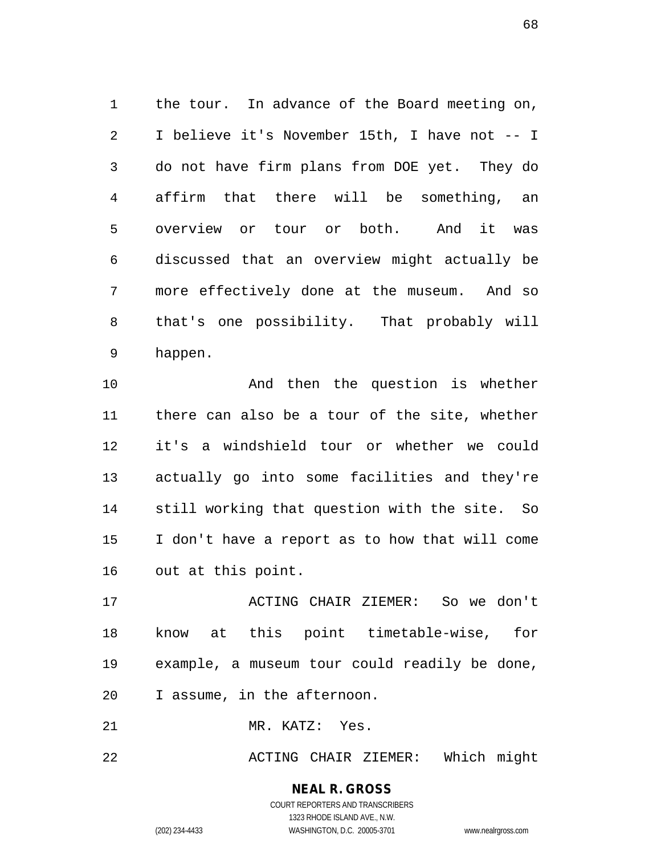the tour. In advance of the Board meeting on, I believe it's November 15th, I have not -- I do not have firm plans from DOE yet. They do affirm that there will be something, an overview or tour or both. And it was discussed that an overview might actually be more effectively done at the museum. And so that's one possibility. That probably will happen.

10 And then the question is whether there can also be a tour of the site, whether it's a windshield tour or whether we could actually go into some facilities and they're still working that question with the site. So I don't have a report as to how that will come out at this point.

 ACTING CHAIR ZIEMER: So we don't know at this point timetable-wise, for example, a museum tour could readily be done, I assume, in the afternoon.

MR. KATZ: Yes.

ACTING CHAIR ZIEMER: Which might

**NEAL R. GROSS** COURT REPORTERS AND TRANSCRIBERS 1323 RHODE ISLAND AVE., N.W.

(202) 234-4433 WASHINGTON, D.C. 20005-3701 www.nealrgross.com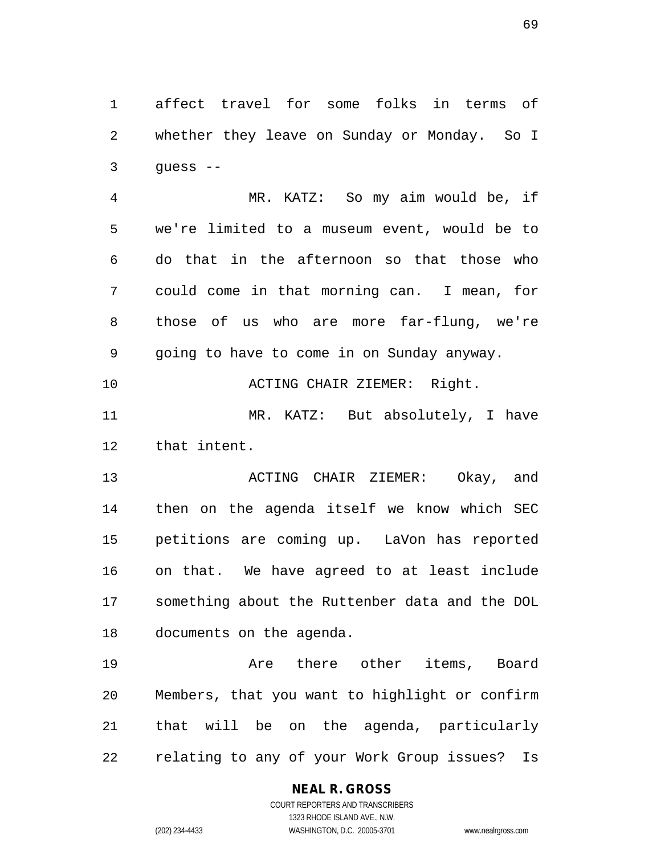affect travel for some folks in terms of whether they leave on Sunday or Monday. So I quess  $-$ 

 MR. KATZ: So my aim would be, if we're limited to a museum event, would be to do that in the afternoon so that those who could come in that morning can. I mean, for those of us who are more far-flung, we're going to have to come in on Sunday anyway.

10 ACTING CHAIR ZIEMER: Right. MR. KATZ: But absolutely, I have

that intent.

 ACTING CHAIR ZIEMER: Okay, and then on the agenda itself we know which SEC petitions are coming up. LaVon has reported on that. We have agreed to at least include something about the Ruttenber data and the DOL documents on the agenda.

 Are there other items, Board Members, that you want to highlight or confirm that will be on the agenda, particularly relating to any of your Work Group issues? Is

## **NEAL R. GROSS**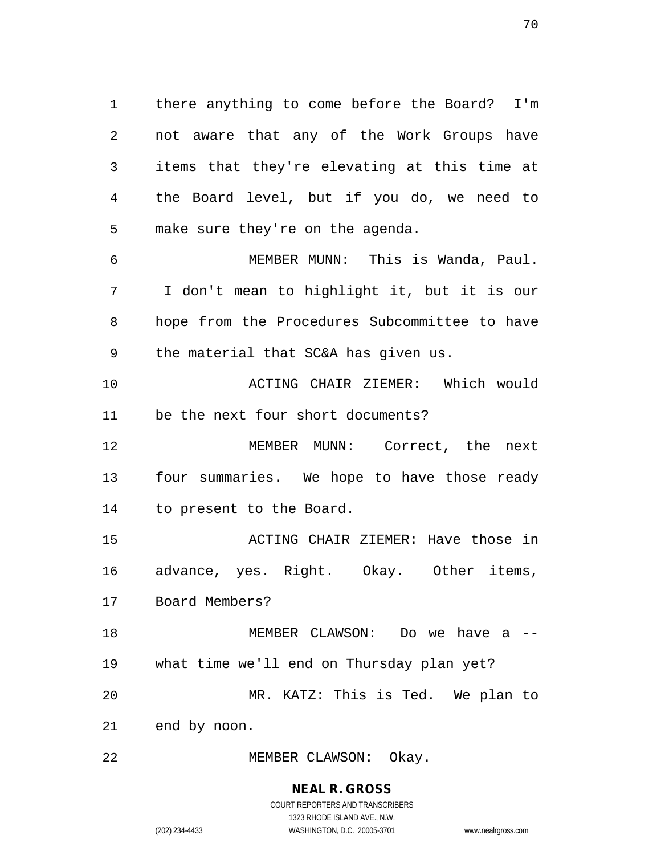there anything to come before the Board? I'm not aware that any of the Work Groups have items that they're elevating at this time at the Board level, but if you do, we need to make sure they're on the agenda.

 MEMBER MUNN: This is Wanda, Paul. I don't mean to highlight it, but it is our hope from the Procedures Subcommittee to have the material that SC&A has given us.

 ACTING CHAIR ZIEMER: Which would be the next four short documents?

 MEMBER MUNN: Correct, the next four summaries. We hope to have those ready to present to the Board.

 ACTING CHAIR ZIEMER: Have those in advance, yes. Right. Okay. Other items, Board Members?

 MEMBER CLAWSON: Do we have a -- what time we'll end on Thursday plan yet? MR. KATZ: This is Ted. We plan to end by noon.

MEMBER CLAWSON: Okay.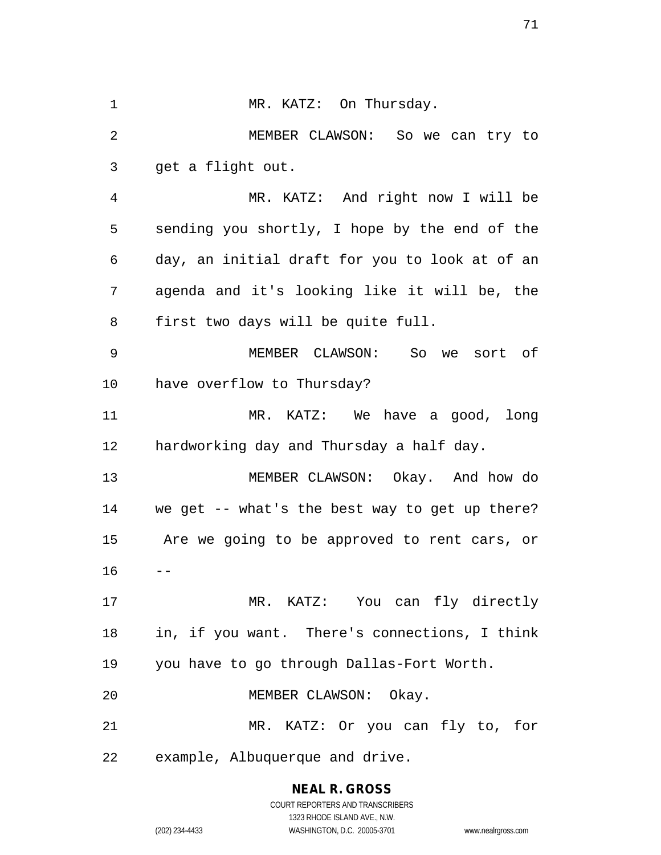1 MR. KATZ: On Thursday. MEMBER CLAWSON: So we can try to get a flight out. MR. KATZ: And right now I will be sending you shortly, I hope by the end of the day, an initial draft for you to look at of an agenda and it's looking like it will be, the first two days will be quite full. MEMBER CLAWSON: So we sort of have overflow to Thursday? MR. KATZ: We have a good, long hardworking day and Thursday a half day. MEMBER CLAWSON: Okay. And how do we get -- what's the best way to get up there? Are we going to be approved to rent cars, or  $16 - -$  MR. KATZ: You can fly directly in, if you want. There's connections, I think you have to go through Dallas-Fort Worth. MEMBER CLAWSON: Okay. MR. KATZ: Or you can fly to, for example, Albuquerque and drive.

> **NEAL R. GROSS** COURT REPORTERS AND TRANSCRIBERS

> > 1323 RHODE ISLAND AVE., N.W.

(202) 234-4433 WASHINGTON, D.C. 20005-3701 www.nealrgross.com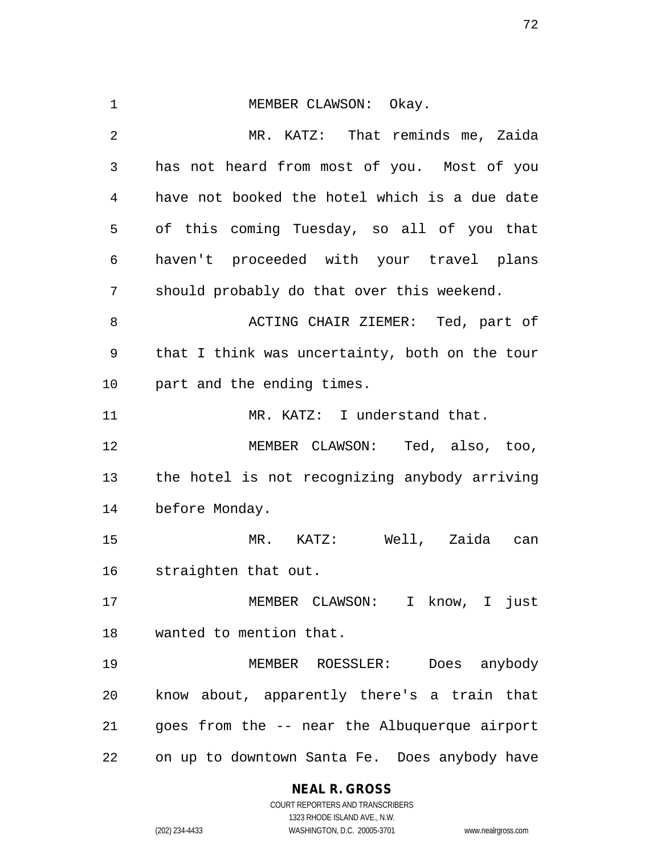1 MEMBER CLAWSON: Okay. MR. KATZ: That reminds me, Zaida has not heard from most of you. Most of you have not booked the hotel which is a due date of this coming Tuesday, so all of you that haven't proceeded with your travel plans should probably do that over this weekend. ACTING CHAIR ZIEMER: Ted, part of that I think was uncertainty, both on the tour part and the ending times. 11 MR. KATZ: I understand that. MEMBER CLAWSON: Ted, also, too, the hotel is not recognizing anybody arriving before Monday. MR. KATZ: Well, Zaida can straighten that out. MEMBER CLAWSON: I know, I just wanted to mention that. MEMBER ROESSLER: Does anybody know about, apparently there's a train that goes from the -- near the Albuquerque airport on up to downtown Santa Fe. Does anybody have

## **NEAL R. GROSS**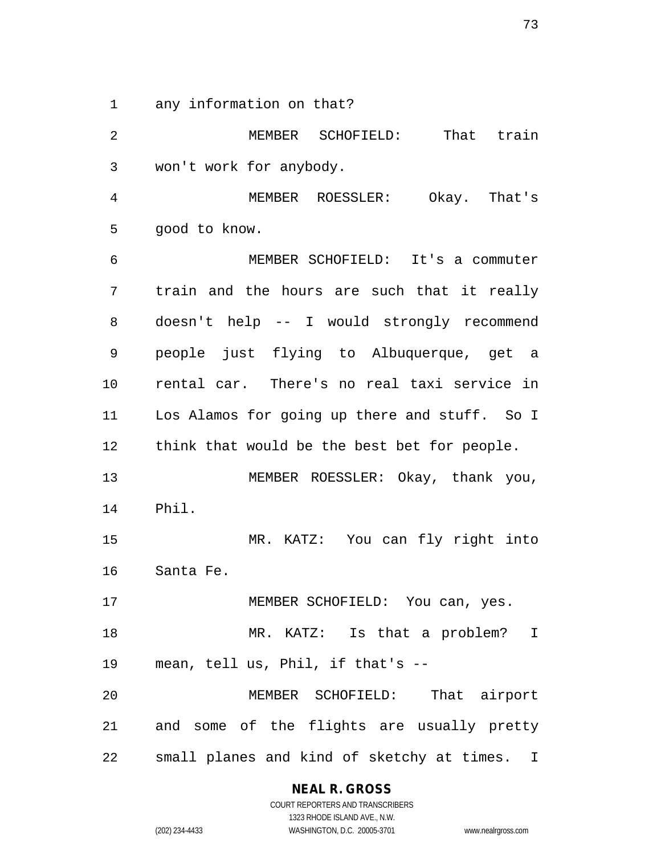any information on that?

 MEMBER SCHOFIELD: That train won't work for anybody. MEMBER ROESSLER: Okay. That's good to know. MEMBER SCHOFIELD: It's a commuter train and the hours are such that it really doesn't help -- I would strongly recommend people just flying to Albuquerque, get a rental car. There's no real taxi service in Los Alamos for going up there and stuff. So I think that would be the best bet for people. MEMBER ROESSLER: Okay, thank you, Phil. MR. KATZ: You can fly right into Santa Fe. MEMBER SCHOFIELD: You can, yes. MR. KATZ: Is that a problem? I mean, tell us, Phil, if that's -- MEMBER SCHOFIELD: That airport and some of the flights are usually pretty small planes and kind of sketchy at times. I

**NEAL R. GROSS**

COURT REPORTERS AND TRANSCRIBERS 1323 RHODE ISLAND AVE., N.W. (202) 234-4433 WASHINGTON, D.C. 20005-3701 www.nealrgross.com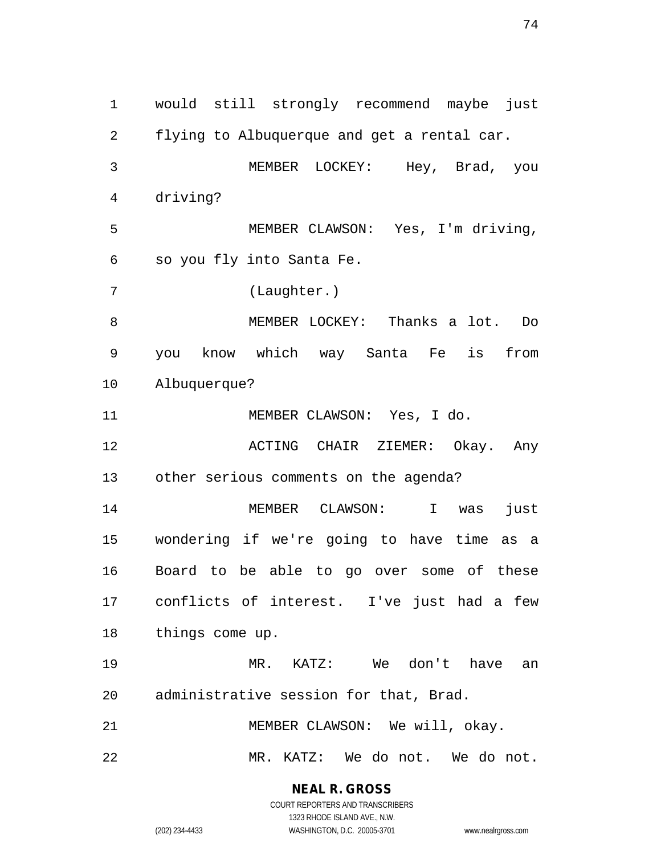would still strongly recommend maybe just flying to Albuquerque and get a rental car. MEMBER LOCKEY: Hey, Brad, you driving? MEMBER CLAWSON: Yes, I'm driving, so you fly into Santa Fe. (Laughter.) MEMBER LOCKEY: Thanks a lot. Do you know which way Santa Fe is from Albuquerque? MEMBER CLAWSON: Yes, I do. ACTING CHAIR ZIEMER: Okay. Any other serious comments on the agenda? MEMBER CLAWSON: I was just wondering if we're going to have time as a Board to be able to go over some of these conflicts of interest. I've just had a few things come up. MR. KATZ: We don't have an administrative session for that, Brad. MEMBER CLAWSON: We will, okay. MR. KATZ: We do not. We do not.

**NEAL R. GROSS**

COURT REPORTERS AND TRANSCRIBERS 1323 RHODE ISLAND AVE., N.W. (202) 234-4433 WASHINGTON, D.C. 20005-3701 www.nealrgross.com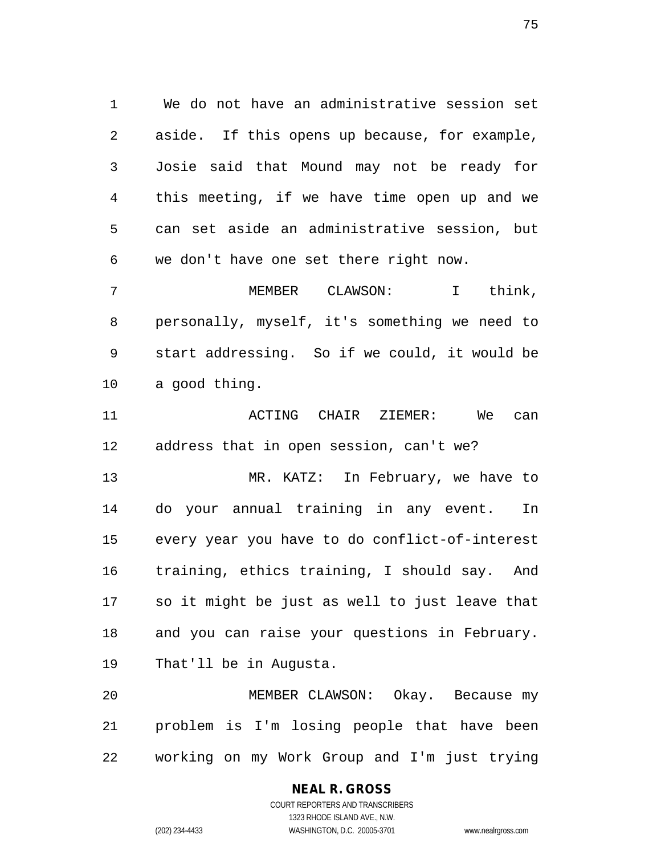We do not have an administrative session set aside. If this opens up because, for example, Josie said that Mound may not be ready for this meeting, if we have time open up and we can set aside an administrative session, but we don't have one set there right now.

 MEMBER CLAWSON: I think, personally, myself, it's something we need to start addressing. So if we could, it would be a good thing.

 ACTING CHAIR ZIEMER: We can address that in open session, can't we?

 MR. KATZ: In February, we have to do your annual training in any event. In every year you have to do conflict-of-interest training, ethics training, I should say. And so it might be just as well to just leave that and you can raise your questions in February. That'll be in Augusta.

 MEMBER CLAWSON: Okay. Because my problem is I'm losing people that have been working on my Work Group and I'm just trying

## **NEAL R. GROSS** COURT REPORTERS AND TRANSCRIBERS

1323 RHODE ISLAND AVE., N.W. (202) 234-4433 WASHINGTON, D.C. 20005-3701 www.nealrgross.com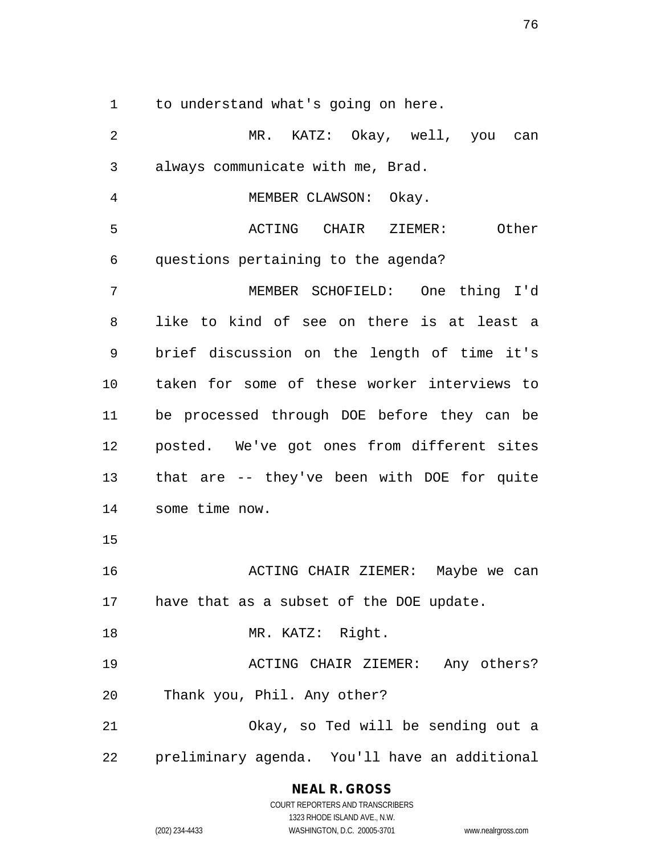to understand what's going on here.

 MR. KATZ: Okay, well, you can always communicate with me, Brad. MEMBER CLAWSON: Okay. ACTING CHAIR ZIEMER: Other questions pertaining to the agenda? MEMBER SCHOFIELD: One thing I'd like to kind of see on there is at least a brief discussion on the length of time it's taken for some of these worker interviews to be processed through DOE before they can be posted. We've got ones from different sites that are -- they've been with DOE for quite some time now. ACTING CHAIR ZIEMER: Maybe we can have that as a subset of the DOE update. 18 MR. KATZ: Right. ACTING CHAIR ZIEMER: Any others? Thank you, Phil. Any other? Okay, so Ted will be sending out a preliminary agenda. You'll have an additional

## **NEAL R. GROSS**

COURT REPORTERS AND TRANSCRIBERS 1323 RHODE ISLAND AVE., N.W. (202) 234-4433 WASHINGTON, D.C. 20005-3701 www.nealrgross.com